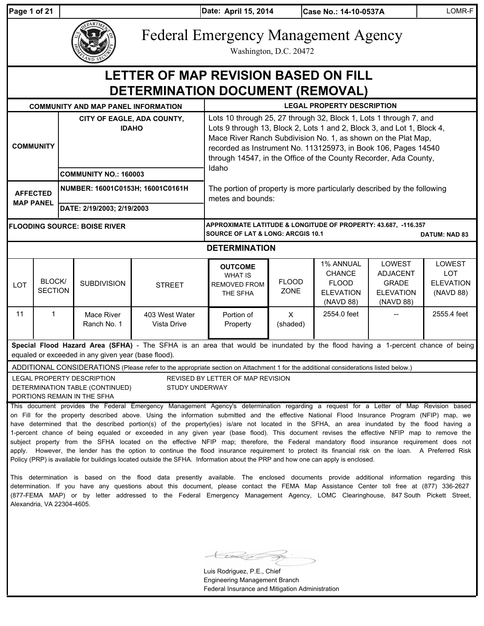| Page 1 of 21                                                                                          |                          |                                            |                                                                                              |                                                                                                                                                                                                                                                                                                                                                                                                                                                                                                                                                                                                                                                                                                                                                                                                                                                                                                                                                                                                                  | Date: April 15, 2014                                                                                                                                                                                                                                                                                                                               |                             | Case No.: 14-10-0537A                                                       |                                                                            | LOMR-F                                                |
|-------------------------------------------------------------------------------------------------------|--------------------------|--------------------------------------------|----------------------------------------------------------------------------------------------|------------------------------------------------------------------------------------------------------------------------------------------------------------------------------------------------------------------------------------------------------------------------------------------------------------------------------------------------------------------------------------------------------------------------------------------------------------------------------------------------------------------------------------------------------------------------------------------------------------------------------------------------------------------------------------------------------------------------------------------------------------------------------------------------------------------------------------------------------------------------------------------------------------------------------------------------------------------------------------------------------------------|----------------------------------------------------------------------------------------------------------------------------------------------------------------------------------------------------------------------------------------------------------------------------------------------------------------------------------------------------|-----------------------------|-----------------------------------------------------------------------------|----------------------------------------------------------------------------|-------------------------------------------------------|
|                                                                                                       |                          |                                            |                                                                                              | <b>Federal Emergency Management Agency</b>                                                                                                                                                                                                                                                                                                                                                                                                                                                                                                                                                                                                                                                                                                                                                                                                                                                                                                                                                                       |                                                                                                                                                                                                                                                                                                                                                    | Washington, D.C. 20472      |                                                                             |                                                                            |                                                       |
|                                                                                                       |                          |                                            |                                                                                              | LETTER OF MAP REVISION BASED ON FILL<br>DETERMINATION DOCUMENT (REMOVAL)                                                                                                                                                                                                                                                                                                                                                                                                                                                                                                                                                                                                                                                                                                                                                                                                                                                                                                                                         |                                                                                                                                                                                                                                                                                                                                                    |                             |                                                                             |                                                                            |                                                       |
|                                                                                                       |                          |                                            | <b>COMMUNITY AND MAP PANEL INFORMATION</b>                                                   |                                                                                                                                                                                                                                                                                                                                                                                                                                                                                                                                                                                                                                                                                                                                                                                                                                                                                                                                                                                                                  |                                                                                                                                                                                                                                                                                                                                                    |                             | <b>LEGAL PROPERTY DESCRIPTION</b>                                           |                                                                            |                                                       |
|                                                                                                       | <b>COMMUNITY</b>         | CITY OF EAGLE, ADA COUNTY,<br><b>IDAHO</b> |                                                                                              |                                                                                                                                                                                                                                                                                                                                                                                                                                                                                                                                                                                                                                                                                                                                                                                                                                                                                                                                                                                                                  | Lots 10 through 25, 27 through 32, Block 1, Lots 1 through 7, and<br>Lots 9 through 13, Block 2, Lots 1 and 2, Block 3, and Lot 1, Block 4,<br>Mace River Ranch Subdivision No. 1, as shown on the Plat Map,<br>recorded as Instrument No. 113125973, in Book 106, Pages 14540<br>through 14547, in the Office of the County Recorder, Ada County, |                             |                                                                             |                                                                            |                                                       |
|                                                                                                       |                          | <b>COMMUNITY NO.: 160003</b>               |                                                                                              |                                                                                                                                                                                                                                                                                                                                                                                                                                                                                                                                                                                                                                                                                                                                                                                                                                                                                                                                                                                                                  | Idaho                                                                                                                                                                                                                                                                                                                                              |                             |                                                                             |                                                                            |                                                       |
| NUMBER: 16001C0153H; 16001C0161H<br><b>AFFECTED</b><br><b>MAP PANEL</b><br>DATE: 2/19/2003; 2/19/2003 |                          |                                            |                                                                                              |                                                                                                                                                                                                                                                                                                                                                                                                                                                                                                                                                                                                                                                                                                                                                                                                                                                                                                                                                                                                                  | The portion of property is more particularly described by the following<br>metes and bounds:                                                                                                                                                                                                                                                       |                             |                                                                             |                                                                            |                                                       |
| <b>FLOODING SOURCE: BOISE RIVER</b>                                                                   |                          |                                            |                                                                                              |                                                                                                                                                                                                                                                                                                                                                                                                                                                                                                                                                                                                                                                                                                                                                                                                                                                                                                                                                                                                                  | APPROXIMATE LATITUDE & LONGITUDE OF PROPERTY: 43.687, -116.357<br>SOURCE OF LAT & LONG: ARCGIS 10.1                                                                                                                                                                                                                                                |                             |                                                                             |                                                                            | <b>DATUM: NAD 83</b>                                  |
|                                                                                                       |                          |                                            |                                                                                              |                                                                                                                                                                                                                                                                                                                                                                                                                                                                                                                                                                                                                                                                                                                                                                                                                                                                                                                                                                                                                  | <b>DETERMINATION</b>                                                                                                                                                                                                                                                                                                                               |                             |                                                                             |                                                                            |                                                       |
| <b>LOT</b>                                                                                            | BLOCK/<br><b>SECTION</b> |                                            | <b>SUBDIVISION</b>                                                                           | <b>STREET</b>                                                                                                                                                                                                                                                                                                                                                                                                                                                                                                                                                                                                                                                                                                                                                                                                                                                                                                                                                                                                    | <b>OUTCOME</b><br><b>WHAT IS</b><br>REMOVED FROM<br>THE SFHA                                                                                                                                                                                                                                                                                       | <b>FLOOD</b><br><b>ZONE</b> | 1% ANNUAL<br><b>CHANCE</b><br><b>FLOOD</b><br><b>ELEVATION</b><br>(NAVD 88) | LOWEST<br><b>ADJACENT</b><br><b>GRADE</b><br><b>ELEVATION</b><br>(NAVD 88) | LOWEST<br><b>LOT</b><br><b>ELEVATION</b><br>(NAVD 88) |
| 11                                                                                                    | $\mathbf{1}$             |                                            | Mace River<br>Ranch No. 1                                                                    | 403 West Water<br>Vista Drive                                                                                                                                                                                                                                                                                                                                                                                                                                                                                                                                                                                                                                                                                                                                                                                                                                                                                                                                                                                    | Portion of<br>Property                                                                                                                                                                                                                                                                                                                             | $\mathsf{x}$<br>(shaded)    | 2554.0 feet                                                                 |                                                                            | 2555.4 feet                                           |
|                                                                                                       |                          |                                            | equaled or exceeded in any given year (base flood).                                          | Special Flood Hazard Area (SFHA) - The SFHA is an area that would be inundated by the flood having a 1-percent chance of being                                                                                                                                                                                                                                                                                                                                                                                                                                                                                                                                                                                                                                                                                                                                                                                                                                                                                   |                                                                                                                                                                                                                                                                                                                                                    |                             |                                                                             |                                                                            |                                                       |
|                                                                                                       |                          |                                            |                                                                                              | ADDITIONAL CONSIDERATIONS (Please refer to the appropriate section on Attachment 1 for the additional considerations listed below.)                                                                                                                                                                                                                                                                                                                                                                                                                                                                                                                                                                                                                                                                                                                                                                                                                                                                              |                                                                                                                                                                                                                                                                                                                                                    |                             |                                                                             |                                                                            |                                                       |
|                                                                                                       |                          |                                            | LEGAL PROPERTY DESCRIPTION<br>DETERMINATION TABLE (CONTINUED)<br>PORTIONS REMAIN IN THE SFHA | STUDY UNDERWAY                                                                                                                                                                                                                                                                                                                                                                                                                                                                                                                                                                                                                                                                                                                                                                                                                                                                                                                                                                                                   | REVISED BY LETTER OF MAP REVISION                                                                                                                                                                                                                                                                                                                  |                             |                                                                             |                                                                            |                                                       |
|                                                                                                       |                          |                                            |                                                                                              | This document provides the Federal Emergency Management Agency's determination regarding a request for a Letter of Map Revision based<br>on Fill for the property described above. Using the information submitted and the effective National Flood Insurance Program (NFIP) map, we<br>have determined that the described portion(s) of the property(ies) is/are not located in the SFHA, an area inundated by the flood having a<br>1-percent chance of being equaled or exceeded in any given year (base flood). This document revises the effective NFIP map to remove the<br>subject property from the SFHA located on the effective NFIP map; therefore, the Federal mandatory flood insurance requirement does not<br>apply. However, the lender has the option to continue the flood insurance requirement to protect its financial risk on the loan. A Preferred Risk<br>Policy (PRP) is available for buildings located outside the SFHA. Information about the PRP and how one can apply is enclosed. |                                                                                                                                                                                                                                                                                                                                                    |                             |                                                                             |                                                                            |                                                       |

This determination is based on the flood data presently available. The enclosed documents provide additional information regarding this determination. If you have any questions about this document, please contact the FEMA Map Assistance Center toll free at (877) 336-2627 (877-FEMA MAP) or by letter addressed to the Federal Emergency Management Agency, LOMC Clearinghouse, 847 South Pickett Street, Alexandria, VA 22304-4605.

**Kanada** Š.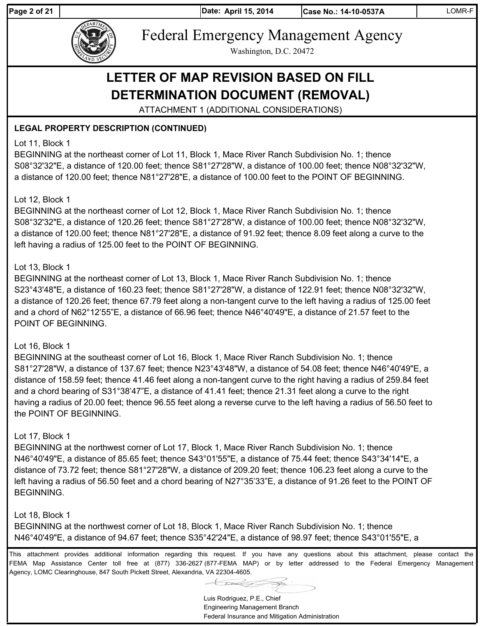Page 2 of 21 **April 15, 2014** 

**Date: Case No.: 14-10-0537A** LOMR-F



Federal Emergency Management Agency

Washington, D.C. 20472

# **LETTER OF MAP REVISION BASED ON FILL DETERMINATION DOCUMENT (REMOVAL)**

ATTACHMENT 1 (ADDITIONAL CONSIDERATIONS)

# **LEGAL PROPERTY DESCRIPTION (CONTINUED)**

### Lot 11, Block 1

BEGINNING at the northeast corner of Lot 11, Block 1, Mace River Ranch Subdivision No. 1; thence S08°32'32"E, a distance of 120.00 feet; thence S81°27'28"W, a distance of 100.00 feet; thence N08°32'32"W, a distance of 120.00 feet; thence N81°27'28"E, a distance of 100.00 feet to the POINT OF BEGINNING.

#### Lot 12, Block 1

BEGINNING at the northeast corner of Lot 12, Block 1, Mace River Ranch Subdivision No. 1; thence S08°32'32"E, a distance of 120.26 feet; thence S81°27'28"W, a distance of 100.00 feet; thence N08°32'32"W, a distance of 120.00 feet; thence N81°27'28"E, a distance of 91.92 feet; thence 8.09 feet along a curve to the left having a radius of 125.00 feet to the POINT OF BEGINNING.

#### Lot 13, Block 1

BEGINNING at the northeast corner of Lot 13, Block 1, Mace River Ranch Subdivision No. 1; thence S23°43'48"E, a distance of 160.23 feet; thence S81°27'28"W, a distance of 122.91 feet; thence N08°32'32"W, a distance of 120.26 feet; thence 67.79 feet along a non-tangent curve to the left having a radius of 125.00 feet and a chord of N62°12'55"E, a distance of 66.96 feet; thence N46°40'49"E, a distance of 21.57 feet to the POINT OF BEGINNING.

#### Lot 16, Block 1

BEGINNING at the southeast corner of Lot 16, Block 1, Mace River Ranch Subdivision No. 1; thence S81°27'28"W, a distance of 137.67 feet; thence N23°43'48"W, a distance of 54.08 feet; thence N46°40'49"E, a distance of 158.59 feet; thence 41.46 feet along a non-tangent curve to the right having a radius of 259.84 feet and a chord bearing of S31°38'47"E, a distance of 41.41 feet; thence 21.31 feet along a curve to the right having a radius of 20.00 feet; thence 96.55 feet along a reverse curve to the left having a radius of 56.50 feet to the POINT OF BEGINNING.

# Lot 17, Block 1

BEGINNING at the northwest corner of Lot 17, Block 1, Mace River Ranch Subdivision No. 1; thence N46°40'49"E, a distance of 85.65 feet; thence S43°01'55"E, a distance of 75.44 feet; thence S43°34'14"E, a distance of 73.72 feet; thence S81°27'28"W, a distance of 209.20 feet; thence 106.23 feet along a curve to the left having a radius of 56.50 feet and a chord bearing of N27°35'33"E, a distance of 91.26 feet to the POINT OF BEGINNING.

# Lot 18, Block 1

BEGINNING at the northwest corner of Lot 18, Block 1, Mace River Ranch Subdivision No. 1; thence N46°40'49"E, a distance of 94.67 feet; thence S35°42'24"E, a distance of 98.97 feet; thence S43°01'55"E, a

This attachment provides additional information regarding this request. If you have any questions about this attachment, please contact the FEMA Map Assistance Center toll free at (877) 336-2627 (877-FEMA MAP) or by letter addressed to the Federal Emergency Management Agency, LOMC Clearinghouse, 847 South Pickett Street, Alexandria, VA 22304-4605.

Luis Rodriguez, P.E., Chief

Engineering Management Branch Federal Insurance and Mitigation Administration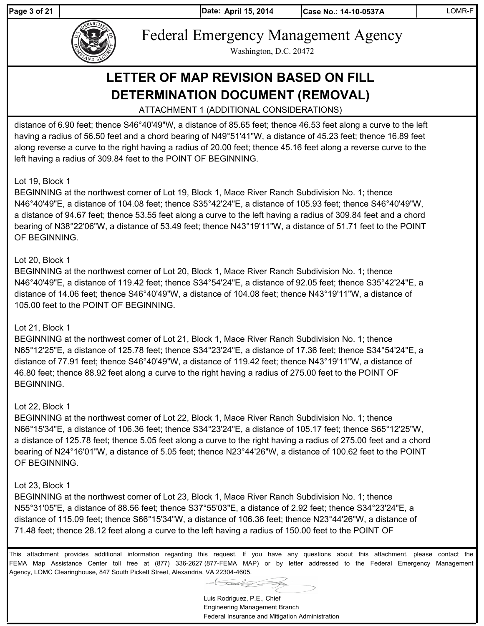Page 3 of 21 **April 15, 2014** 



Federal Emergency Management Agency

Washington, D.C. 20472

# **LETTER OF MAP REVISION BASED ON FILL DETERMINATION DOCUMENT (REMOVAL)**

ATTACHMENT 1 (ADDITIONAL CONSIDERATIONS)

distance of 6.90 feet; thence S46°40'49"W, a distance of 85.65 feet; thence 46.53 feet along a curve to the left having a radius of 56.50 feet and a chord bearing of N49°51'41"W, a distance of 45.23 feet; thence 16.89 feet along reverse a curve to the right having a radius of 20.00 feet; thence 45.16 feet along a reverse curve to the left having a radius of 309.84 feet to the POINT OF BEGINNING.

#### Lot 19, Block 1

BEGINNING at the northwest corner of Lot 19, Block 1, Mace River Ranch Subdivision No. 1; thence N46°40'49"E, a distance of 104.08 feet; thence S35°42'24"E, a distance of 105.93 feet; thence S46°40'49"W, a distance of 94.67 feet; thence 53.55 feet along a curve to the left having a radius of 309.84 feet and a chord bearing of N38°22'06"W, a distance of 53.49 feet; thence N43°19'11"W, a distance of 51.71 feet to the POINT OF BEGINNING.

#### Lot 20, Block 1

BEGINNING at the northwest corner of Lot 20, Block 1, Mace River Ranch Subdivision No. 1; thence N46°40'49"E, a distance of 119.42 feet; thence S34°54'24"E, a distance of 92.05 feet; thence S35°42'24"E, a distance of 14.06 feet; thence S46°40'49"W, a distance of 104.08 feet; thence N43°19'11"W, a distance of 105.00 feet to the POINT OF BEGINNING.

#### Lot 21, Block 1

BEGINNING at the northwest corner of Lot 21, Block 1, Mace River Ranch Subdivision No. 1; thence N65°12'25"E, a distance of 125.78 feet; thence S34°23'24"E, a distance of 17.36 feet; thence S34°54'24"E, a distance of 77.91 feet; thence S46°40'49"W, a distance of 119.42 feet; thence N43°19'11"W, a distance of 46.80 feet; thence 88.92 feet along a curve to the right having a radius of 275.00 feet to the POINT OF BEGINNING.

#### Lot 22, Block 1

BEGINNING at the northwest corner of Lot 22, Block 1, Mace River Ranch Subdivision No. 1; thence N66°15'34"E, a distance of 106.36 feet; thence S34°23'24"E, a distance of 105.17 feet; thence S65°12'25"W, a distance of 125.78 feet; thence 5.05 feet along a curve to the right having a radius of 275.00 feet and a chord bearing of N24°16'01"W, a distance of 5.05 feet; thence N23°44'26"W, a distance of 100.62 feet to the POINT OF BEGINNING.

#### Lot 23, Block 1

BEGINNING at the northwest corner of Lot 23, Block 1, Mace River Ranch Subdivision No. 1; thence N55°31'05"E, a distance of 88.56 feet; thence S37°55'03"E, a distance of 2.92 feet; thence S34°23'24"E, a distance of 115.09 feet; thence S66°15'34"W, a distance of 106.36 feet; thence N23°44'26"W, a distance of 71.48 feet; thence 28.12 feet along a curve to the left having a radius of 150.00 feet to the POINT OF

Luis Rodriguez, P.E., Chief Engineering Management Branch Federal Insurance and Mitigation Administration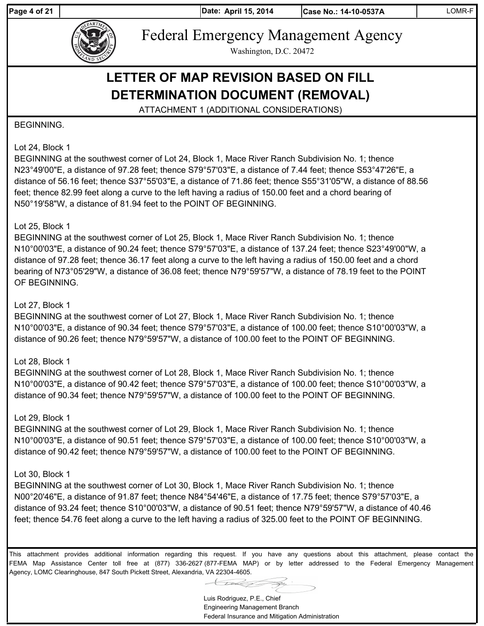Page 4 of 21 **April 15, 2014** 

**Date: Case No.: 14-10-0537A** LOMR-F



Federal Emergency Management Agency

Washington, D.C. 20472

# **LETTER OF MAP REVISION BASED ON FILL DETERMINATION DOCUMENT (REMOVAL)**

ATTACHMENT 1 (ADDITIONAL CONSIDERATIONS)

#### BEGINNING.

#### Lot 24, Block 1

BEGINNING at the southwest corner of Lot 24, Block 1, Mace River Ranch Subdivision No. 1; thence N23°49'00"E, a distance of 97.28 feet; thence S79°57'03"E, a distance of 7.44 feet; thence S53°47'26"E, a distance of 56.16 feet; thence S37°55'03"E, a distance of 71.86 feet; thence S55°31'05"W, a distance of 88.56 feet; thence 82.99 feet along a curve to the left having a radius of 150.00 feet and a chord bearing of N50°19'58"W, a distance of 81.94 feet to the POINT OF BEGINNING.

#### Lot 25, Block 1

BEGINNING at the southwest corner of Lot 25, Block 1, Mace River Ranch Subdivision No. 1; thence N10°00'03"E, a distance of 90.24 feet; thence S79°57'03"E, a distance of 137.24 feet; thence S23°49'00"W, a distance of 97.28 feet; thence 36.17 feet along a curve to the left having a radius of 150.00 feet and a chord bearing of N73°05'29"W, a distance of 36.08 feet; thence N79°59'57"W, a distance of 78.19 feet to the POINT OF BEGINNING.

#### Lot 27, Block 1

BEGINNING at the southwest corner of Lot 27, Block 1, Mace River Ranch Subdivision No. 1; thence N10°00'03"E, a distance of 90.34 feet; thence S79°57'03"E, a distance of 100.00 feet; thence S10°00'03"W, a distance of 90.26 feet; thence N79°59'57"W, a distance of 100.00 feet to the POINT OF BEGINNING.

#### Lot 28, Block 1

BEGINNING at the southwest corner of Lot 28, Block 1, Mace River Ranch Subdivision No. 1; thence N10°00'03"E, a distance of 90.42 feet; thence S79°57'03"E, a distance of 100.00 feet; thence S10°00'03"W, a distance of 90.34 feet; thence N79°59'57"W, a distance of 100.00 feet to the POINT OF BEGINNING.

#### Lot 29, Block 1

BEGINNING at the southwest corner of Lot 29, Block 1, Mace River Ranch Subdivision No. 1; thence N10°00'03"E, a distance of 90.51 feet; thence S79°57'03"E, a distance of 100.00 feet; thence S10°00'03"W, a distance of 90.42 feet; thence N79°59'57"W, a distance of 100.00 feet to the POINT OF BEGINNING.

#### Lot 30, Block 1

BEGINNING at the southwest corner of Lot 30, Block 1, Mace River Ranch Subdivision No. 1; thence N00°20'46"E, a distance of 91.87 feet; thence N84°54'46"E, a distance of 17.75 feet; thence S79°57'03"E, a distance of 93.24 feet; thence S10°00'03"W, a distance of 90.51 feet; thence N79°59'57"W, a distance of 40.46 feet; thence 54.76 feet along a curve to the left having a radius of 325.00 feet to the POINT OF BEGINNING.

Luis Rodriguez, P.E., Chief Engineering Management Branch Federal Insurance and Mitigation Administration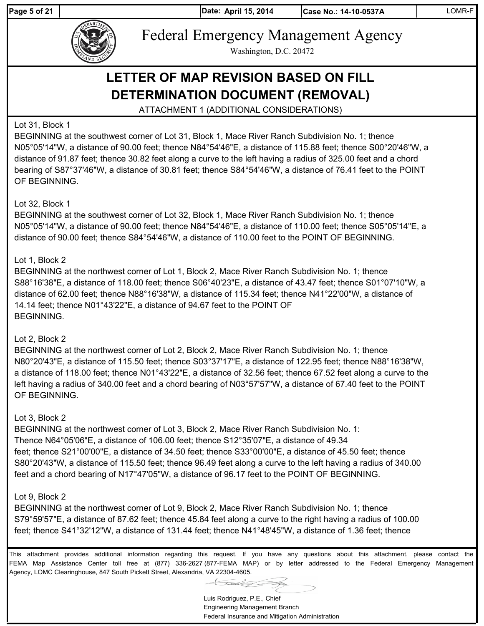Page 5 of 21 **April 15, 2014** 

**Date: Case No.: 14-10-0537A** LOMR-F



Federal Emergency Management Agency

Washington, D.C. 20472

# **LETTER OF MAP REVISION BASED ON FILL DETERMINATION DOCUMENT (REMOVAL)**

ATTACHMENT 1 (ADDITIONAL CONSIDERATIONS)

# Lot 31, Block 1

BEGINNING at the southwest corner of Lot 31, Block 1, Mace River Ranch Subdivision No. 1; thence N05°05'14"W, a distance of 90.00 feet; thence N84°54'46"E, a distance of 115.88 feet; thence S00°20'46"W, a distance of 91.87 feet; thence 30.82 feet along a curve to the left having a radius of 325.00 feet and a chord bearing of S87°37'46"W, a distance of 30.81 feet; thence S84°54'46"W, a distance of 76.41 feet to the POINT OF BEGINNING.

#### Lot 32, Block 1

BEGINNING at the southwest corner of Lot 32, Block 1, Mace River Ranch Subdivision No. 1; thence N05°05'14"W, a distance of 90.00 feet; thence N84°54'46"E, a distance of 110.00 feet; thence S05°05'14"E, a distance of 90.00 feet; thence S84°54'46"W, a distance of 110.00 feet to the POINT OF BEGINNING.

#### Lot 1, Block 2

BEGINNING at the northwest corner of Lot 1, Block 2, Mace River Ranch Subdivision No. 1; thence S88°16'38"E, a distance of 118.00 feet; thence S06°40'23"E, a distance of 43.47 feet; thence S01°07'10"W, a distance of 62.00 feet; thence N88°16'38"W, a distance of 115.34 feet; thence N41°22'00"W, a distance of 14.14 feet; thence N01°43'22"E, a distance of 94.67 feet to the POINT OF BEGINNING.

# Lot 2, Block 2

BEGINNING at the northwest corner of Lot 2, Block 2, Mace River Ranch Subdivision No. 1; thence N80°20'43"E, a distance of 115.50 feet; thence S03°37'17"E, a distance of 122.95 feet; thence N88°16'38"W, a distance of 118.00 feet; thence N01°43'22"E, a distance of 32.56 feet; thence 67.52 feet along a curve to the left having a radius of 340.00 feet and a chord bearing of N03°57'57"W, a distance of 67.40 feet to the POINT OF BEGINNING.

#### Lot 3, Block 2

BEGINNING at the northwest corner of Lot 3, Block 2, Mace River Ranch Subdivision No. 1: Thence N64°05'06"E, a distance of 106.00 feet; thence S12°35'07"E, a distance of 49.34 feet; thence S21°00'00"E, a distance of 34.50 feet; thence S33°00'00"E, a distance of 45.50 feet; thence S80°20'43"W, a distance of 115.50 feet; thence 96.49 feet along a curve to the left having a radius of 340.00 feet and a chord bearing of N17°47'05"W, a distance of 96.17 feet to the POINT OF BEGINNING.

#### Lot 9, Block 2

BEGINNING at the northwest corner of Lot 9, Block 2, Mace River Ranch Subdivision No. 1; thence S79°59'57"E, a distance of 87.62 feet; thence 45.84 feet along a curve to the right having a radius of 100.00 feet; thence S41°32'12"W, a distance of 131.44 feet; thence N41°48'45"W, a distance of 1.36 feet; thence

Luis Rodriguez, P.E., Chief Engineering Management Branch Federal Insurance and Mitigation Administration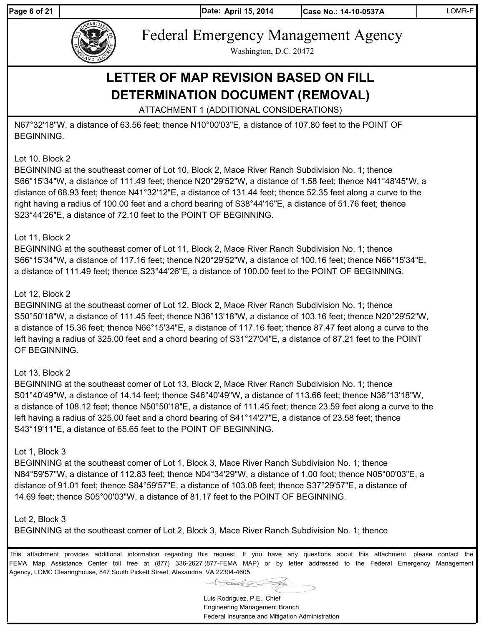Page 6 of 21 **April 15, 2014** 



Federal Emergency Management Agency

Washington, D.C. 20472

# **LETTER OF MAP REVISION BASED ON FILL DETERMINATION DOCUMENT (REMOVAL)**

ATTACHMENT 1 (ADDITIONAL CONSIDERATIONS)

N67°32'18"W, a distance of 63.56 feet; thence N10°00'03"E, a distance of 107.80 feet to the POINT OF BEGINNING.

### Lot 10, Block 2

BEGINNING at the southeast corner of Lot 10, Block 2, Mace River Ranch Subdivision No. 1; thence S66°15'34"W, a distance of 111.49 feet; thence N20°29'52"W, a distance of 1.58 feet; thence N41°48'45"W, a distance of 68.93 feet; thence N41°32'12"E, a distance of 131.44 feet; thence 52.35 feet along a curve to the right having a radius of 100.00 feet and a chord bearing of S38°44'16"E, a distance of 51.76 feet; thence S23°44'26"E, a distance of 72.10 feet to the POINT OF BEGINNING.

#### Lot 11, Block 2

BEGINNING at the southeast corner of Lot 11, Block 2, Mace River Ranch Subdivision No. 1; thence S66°15'34"W, a distance of 117.16 feet; thence N20°29'52"W, a distance of 100.16 feet; thence N66°15'34"E, a distance of 111.49 feet; thence S23°44'26"E, a distance of 100.00 feet to the POINT OF BEGINNING.

#### Lot 12, Block 2

BEGINNING at the southeast corner of Lot 12, Block 2, Mace River Ranch Subdivision No. 1; thence S50°50'18"W, a distance of 111.45 feet; thence N36°13'18"W, a distance of 103.16 feet; thence N20°29'52"W, a distance of 15.36 feet; thence N66°15'34"E, a distance of 117.16 feet; thence 87.47 feet along a curve to the left having a radius of 325.00 feet and a chord bearing of S31°27'04"E, a distance of 87.21 feet to the POINT OF BEGINNING.

# Lot 13, Block 2

BEGINNING at the southeast corner of Lot 13, Block 2, Mace River Ranch Subdivision No. 1; thence S01°40'49"W, a distance of 14.14 feet; thence S46°40'49"W, a distance of 113.66 feet; thence N36°13'18"W, a distance of 108.12 feet; thence N50°50'18"E, a distance of 111.45 feet; thence 23.59 feet along a curve to the left having a radius of 325.00 feet and a chord bearing of S41°14'27"E, a distance of 23.58 feet; thence S43°19'11"E, a distance of 65.65 feet to the POINT OF BEGINNING.

#### Lot 1, Block 3

BEGINNING at the southeast corner of Lot 1, Block 3, Mace River Ranch Subdivision No. 1; thence N84°59'57"W, a distance of 112.83 feet; thence N04°34'29"W, a distance of 1.00 foot; thence N05°00'03"E, a distance of 91.01 feet; thence S84°59'57"E, a distance of 103.08 feet; thence S37°29'57"E, a distance of 14.69 feet; thence S05°00'03"W, a distance of 81.17 feet to the POINT OF BEGINNING.

#### Lot 2, Block 3

BEGINNING at the southeast corner of Lot 2, Block 3, Mace River Ranch Subdivision No. 1; thence

Luis Rodriguez, P.E., Chief Engineering Management Branch Federal Insurance and Mitigation Administration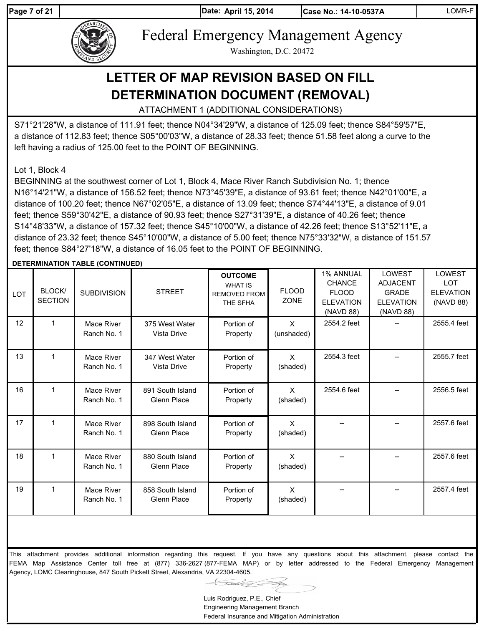Page 7 of 21 **April 15, 2014** 

**Case No.: 14-10-0537A** | LOMR-F



Federal Emergency Management Agency

Washington, D.C. 20472

# **LETTER OF MAP REVISION BASED ON FILL DETERMINATION DOCUMENT (REMOVAL)**

ATTACHMENT 1 (ADDITIONAL CONSIDERATIONS)

S71°21'28"W, a distance of 111.91 feet; thence N04°34'29"W, a distance of 125.09 feet; thence S84°59'57"E, a distance of 112.83 feet; thence S05°00'03"W, a distance of 28.33 feet; thence 51.58 feet along a curve to the left having a radius of 125.00 feet to the POINT OF BEGINNING.

Lot 1, Block 4

BEGINNING at the southwest corner of Lot 1, Block 4, Mace River Ranch Subdivision No. 1; thence N16°14'21"W, a distance of 156.52 feet; thence N73°45'39"E, a distance of 93.61 feet; thence N42°01'00"E, a distance of 100.20 feet; thence N67°02'05"E, a distance of 13.09 feet; thence S74°44'13"E, a distance of 9.01 feet; thence S59°30'42"E, a distance of 90.93 feet; thence S27°31'39"E, a distance of 40.26 feet; thence S14°48'33"W, a distance of 157.32 feet; thence S45°10'00"W, a distance of 42.26 feet; thence S13°52'11"E, a distance of 23.32 feet; thence S45°10'00"W, a distance of 5.00 feet; thence N75°33'32"W, a distance of 151.57 feet; thence S84°27'18"W, a distance of 16.05 feet to the POINT OF BEGINNING.

#### **DETERMINATION TABLE (CONTINUED)**

| <b>LOT</b> | BLOCK/<br><b>SECTION</b> | <b>SUBDIVISION</b>        | <b>STREET</b>                          | <b>OUTCOME</b><br><b>WHAT IS</b><br><b>REMOVED FROM</b><br>THE SFHA | <b>FLOOD</b><br><b>ZONE</b> | 1% ANNUAL<br><b>CHANCE</b><br><b>FLOOD</b><br><b>ELEVATION</b><br>(NAVD 88) | <b>LOWEST</b><br><b>ADJACENT</b><br><b>GRADE</b><br><b>ELEVATION</b><br>(NAVD 88) | <b>LOWEST</b><br><b>LOT</b><br><b>ELEVATION</b><br>(NAVD 88) |
|------------|--------------------------|---------------------------|----------------------------------------|---------------------------------------------------------------------|-----------------------------|-----------------------------------------------------------------------------|-----------------------------------------------------------------------------------|--------------------------------------------------------------|
| 12         | 1                        | Mace River<br>Ranch No. 1 | 375 West Water<br>Vista Drive          | Portion of<br>Property                                              | $\mathsf{x}$<br>(unshaded)  | 2554.2 feet                                                                 |                                                                                   | 2555.4 feet                                                  |
| 13         | 1                        | Mace River<br>Ranch No. 1 | 347 West Water<br>Vista Drive          | Portion of<br>Property                                              | $\mathsf{X}$<br>(shaded)    | 2554.3 feet                                                                 |                                                                                   | 2555.7 feet                                                  |
| 16         | 1                        | Mace River<br>Ranch No. 1 | 891 South Island<br><b>Glenn Place</b> | Portion of<br>Property                                              | $\mathsf{x}$<br>(shaded)    | 2554.6 feet                                                                 |                                                                                   | 2556.5 feet                                                  |
| 17         | 1                        | Mace River<br>Ranch No. 1 | 898 South Island<br>Glenn Place        | Portion of<br>Property                                              | $\mathsf{X}$<br>(shaded)    |                                                                             |                                                                                   | 2557.6 feet                                                  |
| 18         | 1                        | Mace River<br>Ranch No. 1 | 880 South Island<br><b>Glenn Place</b> | Portion of<br>Property                                              | $\times$<br>(shaded)        |                                                                             |                                                                                   | 2557.6 feet                                                  |
| 19         | 1                        | Mace River<br>Ranch No. 1 | 858 South Island<br>Glenn Place        | Portion of<br>Property                                              | $\mathsf{X}$<br>(shaded)    |                                                                             |                                                                                   | 2557.4 feet                                                  |

Luis Rodriguez, P.E., Chief Engineering Management Branch Federal Insurance and Mitigation Administration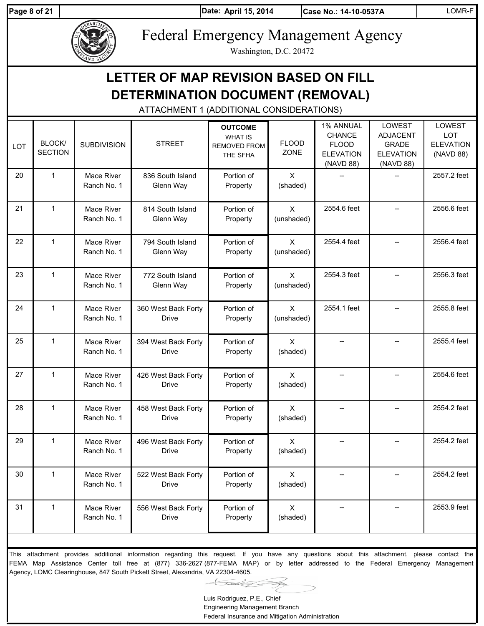**Page 8 of 21 April 15, 2014 April 15, 2014** 

**Date: Case No.: 14-10-0537A** LOMR-F



Federal Emergency Management Agency

Washington, D.C. 20472

| DETERMINATION DOCUMENT (REMOVAL)<br>ATTACHMENT 1 (ADDITIONAL CONSIDERATIONS) |                          |                           |                                     |                                                                     |                            |                                                                             |                                                                            |                                                              |  |  |  |
|------------------------------------------------------------------------------|--------------------------|---------------------------|-------------------------------------|---------------------------------------------------------------------|----------------------------|-----------------------------------------------------------------------------|----------------------------------------------------------------------------|--------------------------------------------------------------|--|--|--|
| <b>LOT</b>                                                                   | BLOCK/<br><b>SECTION</b> | <b>SUBDIVISION</b>        | <b>STREET</b>                       | <b>OUTCOME</b><br><b>WHAT IS</b><br><b>REMOVED FROM</b><br>THE SFHA | <b>FLOOD</b><br>ZONE       | 1% ANNUAL<br><b>CHANCE</b><br><b>FLOOD</b><br><b>ELEVATION</b><br>(NAVD 88) | LOWEST<br><b>ADJACENT</b><br><b>GRADE</b><br><b>ELEVATION</b><br>(NAVD 88) | <b>LOWEST</b><br><b>LOT</b><br><b>ELEVATION</b><br>(NAVD 88) |  |  |  |
| 20                                                                           | $\mathbf{1}$             | Mace River<br>Ranch No. 1 | 836 South Island<br>Glenn Way       | Portion of<br>Property                                              | $\mathsf{X}$<br>(shaded)   |                                                                             |                                                                            | 2557.2 feet                                                  |  |  |  |
| 21                                                                           | $\mathbf{1}$             | Mace River<br>Ranch No. 1 | 814 South Island<br>Glenn Way       | Portion of<br>Property                                              | $\mathsf{X}$<br>(unshaded) | 2554.6 feet                                                                 |                                                                            | 2556.6 feet                                                  |  |  |  |
| 22                                                                           | $\mathbf{1}$             | Mace River<br>Ranch No. 1 | 794 South Island<br>Glenn Way       | Portion of<br>Property                                              | $\mathsf{X}$<br>(unshaded) | 2554.4 feet                                                                 |                                                                            | 2556.4 feet                                                  |  |  |  |
| 23                                                                           | $\mathbf{1}$             | Mace River<br>Ranch No. 1 | 772 South Island<br>Glenn Way       | Portion of<br>Property                                              | $\mathsf{X}$<br>(unshaded) | 2554.3 feet                                                                 |                                                                            | 2556.3 feet                                                  |  |  |  |
| 24                                                                           | $\mathbf{1}$             | Mace River<br>Ranch No. 1 | 360 West Back Forty<br><b>Drive</b> | Portion of<br>Property                                              | $\mathsf{X}$<br>(unshaded) | 2554.1 feet                                                                 |                                                                            | 2555.8 feet                                                  |  |  |  |
| 25                                                                           | $\mathbf{1}$             | Mace River<br>Ranch No. 1 | 394 West Back Forty<br><b>Drive</b> | Portion of<br>Property                                              | $\mathsf{X}$<br>(shaded)   |                                                                             |                                                                            | 2555.4 feet                                                  |  |  |  |
| 27                                                                           | $\mathbf{1}$             | Mace River<br>Ranch No. 1 | 426 West Back Forty<br><b>Drive</b> | Portion of<br>Property                                              | $\mathsf{X}$<br>(shaded)   | $-$                                                                         |                                                                            | 2554.6 feet                                                  |  |  |  |
| 28                                                                           | 1                        | Mace River<br>Ranch No. 1 | 458 West Back Forty<br><b>Drive</b> | Portion of<br>Property                                              | $\mathsf{X}$<br>(shaded)   |                                                                             | $-$                                                                        | 2554.2 feet                                                  |  |  |  |
| 29                                                                           | $\mathbf{1}$             | Mace River<br>Ranch No. 1 | 496 West Back Forty<br><b>Drive</b> | Portion of<br>Property                                              | $\mathsf{X}$<br>(shaded)   |                                                                             |                                                                            | 2554.2 feet                                                  |  |  |  |
| 30                                                                           | $\mathbf{1}$             | Mace River<br>Ranch No. 1 | 522 West Back Forty<br><b>Drive</b> | Portion of<br>Property                                              | $\mathsf{X}$<br>(shaded)   | --                                                                          | --                                                                         | 2554.2 feet                                                  |  |  |  |
| 31                                                                           | $\mathbf{1}$             | Mace River<br>Ranch No. 1 | 556 West Back Forty<br><b>Drive</b> | Portion of<br>Property                                              | $\mathsf{X}$<br>(shaded)   | --                                                                          | --                                                                         | 2553.9 feet                                                  |  |  |  |

This attachment provides additional information regarding this request. If you have any questions about this attachment, please contact the FEMA Map Assistance Center toll free at (877) 336-2627 (877-FEMA MAP) or by letter addressed to the Federal Emergency Management Agency, LOMC Clearinghouse, 847 South Pickett Street, Alexandria, VA 22304-4605.

Luis Rodriguez, P.E., Chief

Engineering Management Branch Federal Insurance and Mitigation Administration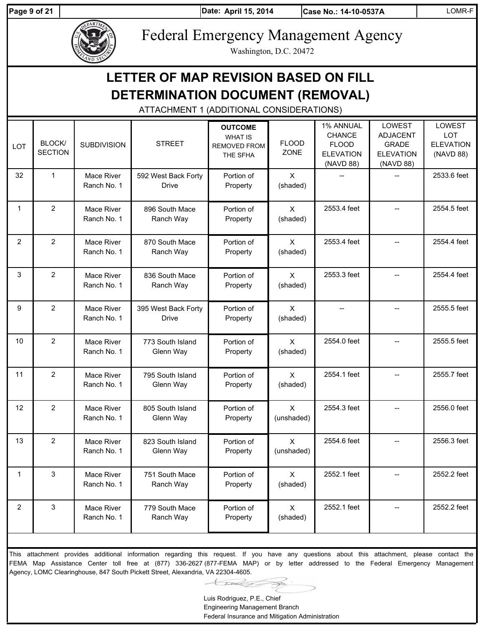**LOT** 

Page 9 of 21 **April 15, 2014** 

**Case No.: 14-10-0537A** LOMR-F

LOWEST LOT ELEVATION (NAVD 88)

2533.6 feet

2554.5 feet

2554.4 feet

2554.4 feet

2555.5 feet

2555.5 feet

2555.7 feet

2554.3 feet -- 2556.0 feet

2554.6 feet | - 1 2556.3 feet

2552.1 feet | - 2552.2 feet

2552.1 feet | -- | 2552.2 feet



12 | 2 | Mace River

13 2 Mace River

1 3 Mace River

2 3 Mace River

Ranch No. 1

Ranch No. 1

Ranch No. 1

Ranch No. 1

805 South Island Glenn Way

823 South Island Glenn Way

751 South Mace Ranch Way

779 South Mace Ranch Way

Federal Emergency Management Agency

Washington, D.C. 20472

|                | LETTER OF MAP REVISION BASED ON FILL<br><b>DETERMINATION DOCUMENT (REMOVAL)</b><br>ATTACHMENT 1 (ADDITIONAL CONSIDERATIONS) |                           |                                     |                                                                     |                             |                                                                             |                                                                            |  |  |  |  |  |  |
|----------------|-----------------------------------------------------------------------------------------------------------------------------|---------------------------|-------------------------------------|---------------------------------------------------------------------|-----------------------------|-----------------------------------------------------------------------------|----------------------------------------------------------------------------|--|--|--|--|--|--|
| OT.            | BLOCK/<br><b>SECTION</b>                                                                                                    | <b>SUBDIVISION</b>        | <b>STREET</b>                       | <b>OUTCOME</b><br><b>WHAT IS</b><br><b>REMOVED FROM</b><br>THE SFHA | <b>FLOOD</b><br><b>ZONE</b> | 1% ANNUAL<br><b>CHANCE</b><br><b>FLOOD</b><br><b>ELEVATION</b><br>(NAVD 88) | LOWEST<br><b>ADJACENT</b><br><b>GRADE</b><br><b>ELEVATION</b><br>(NAVD 88) |  |  |  |  |  |  |
| 32             | $\mathbf 1$                                                                                                                 | Mace River<br>Ranch No. 1 | 592 West Back Forty<br><b>Drive</b> | Portion of<br>Property                                              | $\mathsf{X}$<br>(shaded)    |                                                                             |                                                                            |  |  |  |  |  |  |
| $\mathbf{1}$   | $\overline{2}$                                                                                                              | Mace River<br>Ranch No. 1 | 896 South Mace<br>Ranch Way         | Portion of<br>Property                                              | $\mathsf{X}$<br>(shaded)    | 2553.4 feet                                                                 |                                                                            |  |  |  |  |  |  |
| $\overline{2}$ | $\overline{2}$                                                                                                              | Mace River<br>Ranch No. 1 | 870 South Mace<br>Ranch Way         | Portion of<br>Property                                              | $\mathsf{x}$<br>(shaded)    | 2553.4 feet                                                                 |                                                                            |  |  |  |  |  |  |
| 3              | $\overline{2}$                                                                                                              | Mace River<br>Ranch No. 1 | 836 South Mace<br>Ranch Way         | Portion of<br>Property                                              | $\mathsf{x}$<br>(shaded)    | 2553.3 feet                                                                 |                                                                            |  |  |  |  |  |  |
| 9              | $\overline{2}$                                                                                                              | Mace River<br>Ranch No. 1 | 395 West Back Forty<br><b>Drive</b> | Portion of<br>Property                                              | $\mathsf{x}$<br>(shaded)    |                                                                             |                                                                            |  |  |  |  |  |  |
| 10             | $\overline{2}$                                                                                                              | Mace River<br>Ranch No. 1 | 773 South Island<br>Glenn Way       | Portion of<br>Property                                              | $\sf X$<br>(shaded)         | 2554.0 feet                                                                 |                                                                            |  |  |  |  |  |  |
| 11             | $\overline{2}$                                                                                                              | Mace River<br>Ranch No. 1 | 795 South Island<br>Glenn Way       | Portion of<br>Property                                              | X<br>(shaded)               | 2554.1 feet                                                                 |                                                                            |  |  |  |  |  |  |

This attachment provides additional information regarding this request. If you have any questions about this attachment, please contact the FEMA Map Assistance Center toll free at (877) 336-2627 (877-FEMA MAP) or by letter addressed to the Federal Emergency Management Agency, LOMC Clearinghouse, 847 South Pickett Street, Alexandria, VA 22304-4605.

Portion of Property

Portion of Property

Portion of Property

Portion of Property

X (unshaded)

X (unshaded)

X (shaded)

X (shaded)

Luis Rodriguez, P.E., Chief Engineering Management Branch Federal Insurance and Mitigation Administration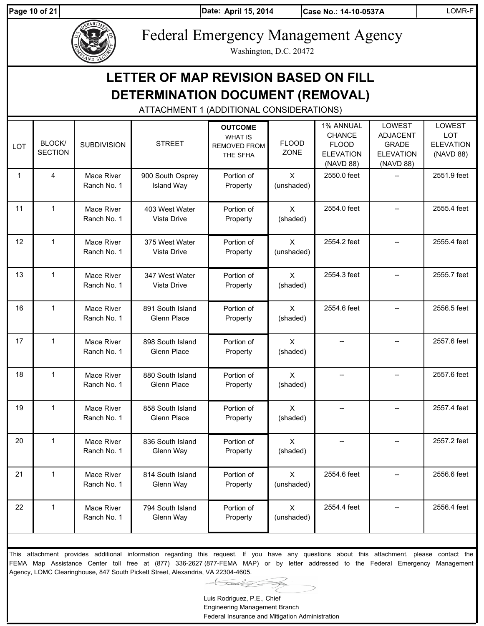**Page 10 of 21 April 15, 2014 April 15, 2014** 

**Date: Case No.: 14-10-0537A** LOMR-F



Federal Emergency Management Agency

Washington, D.C. 20472

|              |                          |                           | DETERMINATION DOCUMENT (REMOVAL)<br>ATTACHMENT 1 (ADDITIONAL CONSIDERATIONS) |                                                                     |                                         |                                                                             |                                                                                   |                                                              |
|--------------|--------------------------|---------------------------|------------------------------------------------------------------------------|---------------------------------------------------------------------|-----------------------------------------|-----------------------------------------------------------------------------|-----------------------------------------------------------------------------------|--------------------------------------------------------------|
| <b>LOT</b>   | BLOCK/<br><b>SECTION</b> | <b>SUBDIVISION</b>        | <b>STREET</b>                                                                | <b>OUTCOME</b><br><b>WHAT IS</b><br><b>REMOVED FROM</b><br>THE SFHA | <b>FLOOD</b><br>ZONE                    | 1% ANNUAL<br><b>CHANCE</b><br><b>FLOOD</b><br><b>ELEVATION</b><br>(NAVD 88) | <b>LOWEST</b><br><b>ADJACENT</b><br><b>GRADE</b><br><b>ELEVATION</b><br>(NAVD 88) | <b>LOWEST</b><br><b>LOT</b><br><b>ELEVATION</b><br>(NAVD 88) |
| $\mathbf{1}$ | 4                        | Mace River<br>Ranch No. 1 | 900 South Osprey<br><b>Island Way</b>                                        | Portion of<br>Property                                              | $\mathsf{X}$<br>(unshaded)              | 2550.0 feet                                                                 |                                                                                   | 2551.9 feet                                                  |
| 11           | $\mathbf{1}$             | Mace River<br>Ranch No. 1 | 403 West Water<br>Vista Drive                                                | Portion of<br>Property                                              | $\mathsf{X}$<br>(shaded)                | 2554.0 feet                                                                 |                                                                                   | 2555.4 feet                                                  |
| 12           | $\mathbf{1}$             | Mace River<br>Ranch No. 1 | 375 West Water<br>Vista Drive                                                | Portion of<br>Property                                              | $\mathsf{X}$<br>(unshaded)              | 2554.2 feet                                                                 |                                                                                   | 2555.4 feet                                                  |
| 13           | $\mathbf{1}$             | Mace River<br>Ranch No. 1 | 347 West Water<br>Vista Drive                                                | Portion of<br>Property                                              | $\mathsf{X}$<br>(shaded)                | 2554.3 feet                                                                 |                                                                                   | 2555.7 feet                                                  |
| 16           | $\mathbf{1}$             | Mace River<br>Ranch No. 1 | 891 South Island<br>Glenn Place                                              | Portion of<br>Property                                              | $\mathsf{X}$<br>(shaded)                | 2554.6 feet                                                                 |                                                                                   | 2556.5 feet                                                  |
| 17           | $\mathbf{1}$             | Mace River<br>Ranch No. 1 | 898 South Island<br>Glenn Place                                              | Portion of<br>Property                                              | $\mathsf{X}$<br>(shaded)                |                                                                             |                                                                                   | 2557.6 feet                                                  |
| 18           | $\mathbf{1}$             | Mace River<br>Ranch No. 1 | 880 South Island<br>Glenn Place                                              | Portion of<br>Property                                              | $\mathsf{X}$<br>(shaded)                |                                                                             |                                                                                   | 2557.6 feet                                                  |
| 19           | 1                        | Mace River<br>Ranch No. 1 | 858 South Island<br>Glenn Place                                              | Portion of<br>Property                                              | X<br>(shaded)                           |                                                                             |                                                                                   | 2557.4 feet                                                  |
| 20           | 1                        | Mace River<br>Ranch No. 1 | 836 South Island<br>Glenn Way                                                | Portion of<br>Property                                              | X<br>(shaded)                           | $\overline{\phantom{a}}$                                                    |                                                                                   | 2557.2 feet                                                  |
| 21           | $\mathbf 1$              | Mace River<br>Ranch No. 1 | 814 South Island<br>Glenn Way                                                | Portion of<br>Property                                              | $\boldsymbol{\mathsf{X}}$<br>(unshaded) | 2554.6 feet                                                                 | $-$                                                                               | 2556.6 feet                                                  |
| 22           | $\mathbf{1}$             | Mace River<br>Ranch No. 1 | 794 South Island<br>Glenn Way                                                | Portion of<br>Property                                              | X<br>(unshaded)                         | 2554.4 feet                                                                 | $\overline{\phantom{a}}$                                                          | 2556.4 feet                                                  |

This attachment provides additional information regarding this request. If you have any questions about this attachment, please contact the FEMA Map Assistance Center toll free at (877) 336-2627 (877-FEMA MAP) or by letter addressed to the Federal Emergency Management Agency, LOMC Clearinghouse, 847 South Pickett Street, Alexandria, VA 22304-4605.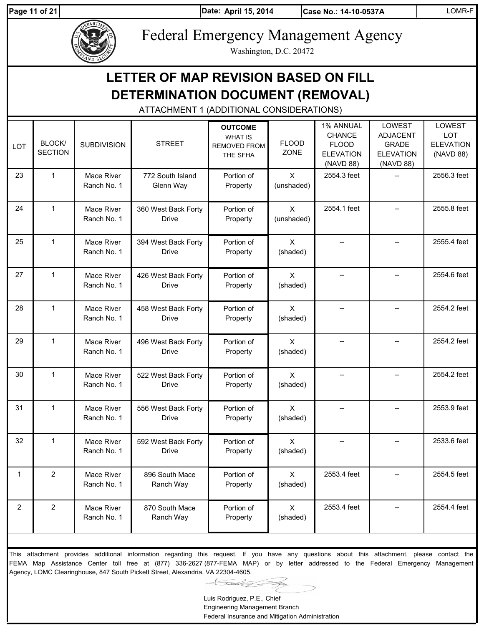Page 11 of 21 **April 15, 2014** 

**Date: Case No.: 14-10-0537A** LOMR-F



Federal Emergency Management Agency

Washington, D.C. 20472

|     |                                          |                           | DETERMINATION DOCUMENT (REMOVAL)    | LETTER OF MAP REVISION BASED ON FILL                         |                            |                                                                             |                                                                            |                                                              |  |  |  |  |
|-----|------------------------------------------|---------------------------|-------------------------------------|--------------------------------------------------------------|----------------------------|-----------------------------------------------------------------------------|----------------------------------------------------------------------------|--------------------------------------------------------------|--|--|--|--|
|     | ATTACHMENT 1 (ADDITIONAL CONSIDERATIONS) |                           |                                     |                                                              |                            |                                                                             |                                                                            |                                                              |  |  |  |  |
| LOT | BLOCK/<br><b>SECTION</b>                 | <b>SUBDIVISION</b>        | <b>STREET</b>                       | <b>OUTCOME</b><br><b>WHAT IS</b><br>REMOVED FROM<br>THE SFHA | <b>FLOOD</b><br>ZONE       | 1% ANNUAL<br><b>CHANCE</b><br><b>FLOOD</b><br><b>ELEVATION</b><br>(NAVD 88) | LOWEST<br><b>ADJACENT</b><br><b>GRADE</b><br><b>ELEVATION</b><br>(NAVD 88) | <b>LOWEST</b><br><b>LOT</b><br><b>ELEVATION</b><br>(NAVD 88) |  |  |  |  |
| 23  | $\mathbf{1}$                             | Mace River<br>Ranch No. 1 | 772 South Island<br>Glenn Way       | Portion of<br>Property                                       | $\mathsf{X}$<br>(unshaded) | 2554.3 feet                                                                 |                                                                            | 2556.3 feet                                                  |  |  |  |  |
| 24  | $\mathbf{1}$                             | Mace River<br>Ranch No. 1 | 360 West Back Forty<br><b>Drive</b> | Portion of<br>Property                                       | $\mathsf{X}$<br>(unshaded) | 2554.1 feet                                                                 |                                                                            | 2555.8 feet                                                  |  |  |  |  |
| 25  | $\mathbf{1}$                             | Mace River<br>Ranch No. 1 | 394 West Back Forty<br><b>Drive</b> | Portion of<br>Property                                       | $\mathsf{X}$<br>(shaded)   |                                                                             |                                                                            | 2555.4 feet                                                  |  |  |  |  |
| 27  | $\mathbf{1}$                             | Mace River<br>Ranch No. 1 | 426 West Back Forty<br>Drive        | Portion of<br>Property                                       | $\mathsf{X}$<br>(shaded)   |                                                                             |                                                                            | 2554.6 feet                                                  |  |  |  |  |
| 28  | $\mathbf{1}$                             | Mace River<br>Ranch No. 1 | 458 West Back Forty<br><b>Drive</b> | Portion of<br>Property                                       | $\mathsf{X}$<br>(shaded)   |                                                                             |                                                                            | 2554.2 feet                                                  |  |  |  |  |
| 29  | $\mathbf{1}$                             | Mace River<br>Ranch No. 1 | 496 West Back Forty<br>Drive        | Portion of<br>Property                                       | $\mathsf{X}$<br>(shaded)   |                                                                             |                                                                            | 2554.2 feet                                                  |  |  |  |  |
| 30  | $\mathbf{1}$                             | Mace River<br>Ranch No. 1 | 522 West Back Forty<br>Drive        | Portion of<br>Property                                       | $\mathsf{X}$<br>(shaded)   |                                                                             |                                                                            | 2554.2 feet                                                  |  |  |  |  |
| 31  | $\mathbf 1$                              | Mace River<br>Ranch No. 1 | 556 West Back Forty<br><b>Drive</b> | Portion of<br>Property                                       | $\mathsf{X}$<br>(shaded)   |                                                                             |                                                                            | 2553.9 feet                                                  |  |  |  |  |
| 32  | $\mathbf{1}$                             | Mace River<br>Ranch No. 1 | 592 West Back Forty<br><b>Drive</b> | Portion of<br>Property                                       | $\mathsf{X}$<br>(shaded)   |                                                                             |                                                                            | 2533.6 feet                                                  |  |  |  |  |
| 1   | $\overline{2}$                           | Mace River<br>Ranch No. 1 | 896 South Mace<br>Ranch Way         | Portion of<br>Property                                       | $\mathsf{X}$<br>(shaded)   | 2553.4 feet                                                                 |                                                                            | 2554.5 feet                                                  |  |  |  |  |
| 2   | $\overline{2}$                           | Mace River<br>Ranch No. 1 | 870 South Mace<br>Ranch Way         | Portion of<br>Property                                       | $\mathsf{X}$<br>(shaded)   | 2553.4 feet                                                                 |                                                                            | 2554.4 feet                                                  |  |  |  |  |

This attachment provides additional information regarding this request. If you have any questions about this attachment, please contact the FEMA Map Assistance Center toll free at (877) 336-2627 (877-FEMA MAP) or by letter addressed to the Federal Emergency Management Agency, LOMC Clearinghouse, 847 South Pickett Street, Alexandria, VA 22304-4605.

Luis Rodriguez, P.E., Chief

Engineering Management Branch Federal Insurance and Mitigation Administration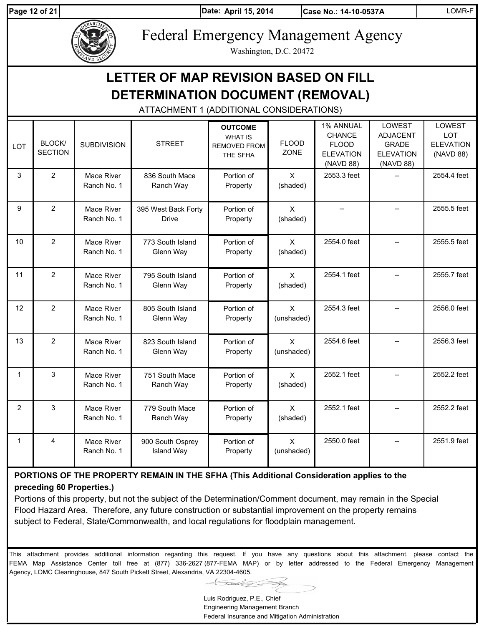Page 12 of 21 **April 15, 2014** 

**Date: Case No.: 14-10-0537A** LOMR-F



Federal Emergency Management Agency

Washington, D.C. 20472

# **LETTER OF MAP REVISION BASED ON FILL DETERMINATION DOCUMENT (REMOVAL)**

ATTACHMENT 1 (ADDITIONAL CONSIDERATIONS)

| LOT          | <b>BLOCK/</b><br><b>SECTION</b> | <b>SUBDIVISION</b>        | <b>STREET</b>                         | <b>OUTCOME</b><br><b>WHAT IS</b><br><b>REMOVED FROM</b><br>THE SFHA | <b>FLOOD</b><br>ZONE       | 1% ANNUAL<br><b>CHANCE</b><br><b>FLOOD</b><br><b>ELEVATION</b><br>(NAVD 88) | <b>LOWEST</b><br><b>ADJACENT</b><br><b>GRADE</b><br><b>ELEVATION</b><br>(NAVD 88) | LOWEST<br><b>LOT</b><br><b>ELEVATION</b><br>(NAVD 88) |
|--------------|---------------------------------|---------------------------|---------------------------------------|---------------------------------------------------------------------|----------------------------|-----------------------------------------------------------------------------|-----------------------------------------------------------------------------------|-------------------------------------------------------|
| 3            | $\overline{2}$                  | Mace River<br>Ranch No. 1 | 836 South Mace<br>Ranch Way           | Portion of<br>Property                                              | $\mathsf{X}$<br>(shaded)   | 2553.3 feet                                                                 | $\overline{a}$                                                                    | 2554.4 feet                                           |
| 9            | $\overline{2}$                  | Mace River<br>Ranch No. 1 | 395 West Back Forty<br><b>Drive</b>   | Portion of<br>Property                                              | $\mathsf{x}$<br>(shaded)   | $\overline{a}$                                                              |                                                                                   | 2555.5 feet                                           |
| 10           | $\overline{2}$                  | Mace River<br>Ranch No. 1 | 773 South Island<br>Glenn Way         | Portion of<br>Property                                              | $\mathsf{X}$<br>(shaded)   | 2554.0 feet                                                                 |                                                                                   | 2555.5 feet                                           |
| 11           | $\overline{2}$                  | Mace River<br>Ranch No. 1 | 795 South Island<br>Glenn Way         | Portion of<br>Property                                              | $\mathsf{X}$<br>(shaded)   | 2554.1 feet                                                                 |                                                                                   | 2555.7 feet                                           |
| 12           | $\overline{2}$                  | Mace River<br>Ranch No. 1 | 805 South Island<br>Glenn Way         | Portion of<br>Property                                              | $\mathsf{X}$<br>(unshaded) | 2554.3 feet                                                                 |                                                                                   | 2556.0 feet                                           |
| 13           | $\overline{2}$                  | Mace River<br>Ranch No. 1 | 823 South Island<br>Glenn Way         | Portion of<br>Property                                              | $\mathsf{x}$<br>(unshaded) | 2554.6 feet                                                                 |                                                                                   | 2556.3 feet                                           |
| $\mathbf{1}$ | 3                               | Mace River<br>Ranch No. 1 | 751 South Mace<br>Ranch Way           | Portion of<br>Property                                              | $\mathsf{X}$<br>(shaded)   | 2552.1 feet                                                                 |                                                                                   | 2552.2 feet                                           |
| 2            | 3                               | Mace River<br>Ranch No. 1 | 779 South Mace<br>Ranch Way           | Portion of<br>Property                                              | $\mathsf{X}$<br>(shaded)   | 2552.1 feet                                                                 |                                                                                   | 2552.2 feet                                           |
| $\mathbf{1}$ | 4                               | Mace River<br>Ranch No. 1 | 900 South Osprey<br><b>Island Way</b> | Portion of<br>Property                                              | $\mathsf{X}$<br>(unshaded) | 2550.0 feet                                                                 |                                                                                   | 2551.9 feet                                           |

# **PORTIONS OF THE PROPERTY REMAIN IN THE SFHA (This Additional Consideration applies to the preceding 60 Properties.)**

Portions of this property, but not the subject of the Determination/Comment document, may remain in the Special Flood Hazard Area. Therefore, any future construction or substantial improvement on the property remains subject to Federal, State/Commonwealth, and local regulations for floodplain management.

This attachment provides additional information regarding this request. If you have any questions about this attachment, please contact the FEMA Map Assistance Center toll free at (877) 336-2627 (877-FEMA MAP) or by letter addressed to the Federal Emergency Management Agency, LOMC Clearinghouse, 847 South Pickett Street, Alexandria, VA 22304-4605.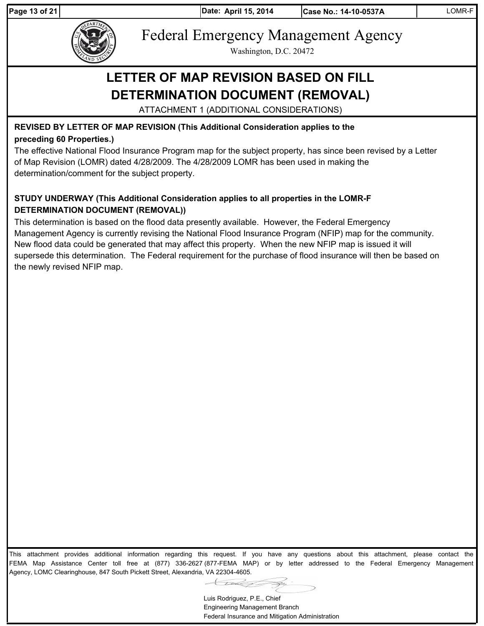

Federal Emergency Management Agency

Washington, D.C. 20472

# **LETTER OF MAP REVISION BASED ON FILL DETERMINATION DOCUMENT (REMOVAL)**

ATTACHMENT 1 (ADDITIONAL CONSIDERATIONS)

# **REVISED BY LETTER OF MAP REVISION (This Additional Consideration applies to the preceding 60 Properties.)**

The effective National Flood Insurance Program map for the subject property, has since been revised by a Letter of Map Revision (LOMR) dated 4/28/2009. The 4/28/2009 LOMR has been used in making the determination/comment for the subject property.

# **STUDY UNDERWAY (This Additional Consideration applies to all properties in the LOMR-F DETERMINATION DOCUMENT (REMOVAL))**

This determination is based on the flood data presently available. However, the Federal Emergency Management Agency is currently revising the National Flood Insurance Program (NFIP) map for the community. New flood data could be generated that may affect this property. When the new NFIP map is issued it will supersede this determination. The Federal requirement for the purchase of flood insurance will then be based on the newly revised NFIP map.

This attachment provides additional information regarding this request. If you have any questions about this attachment, please contact the FEMA Map Assistance Center toll free at (877) 336-2627 (877-FEMA MAP) or by letter addressed to the Federal Emergency Management Agency, LOMC Clearinghouse, 847 South Pickett Street, Alexandria, VA 22304-4605.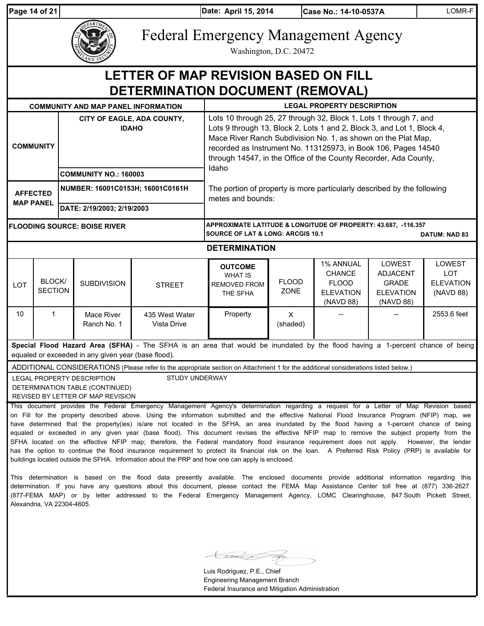|                                                                                 | Page 14 of 21                                                                                         |                                            |                                                                                                    |                                                                                                                                                                                                                                                                                                                                                                                                                                                                                                                                                                                                                                                                                                                                                                                                                                                                                                                                                                                      | Date: April 15, 2014                                                                                                                                                                                                                                                                                                                               |                             | Case No.: 14-10-0537A                                                       |                                                                            | LOMR-F                                                |
|---------------------------------------------------------------------------------|-------------------------------------------------------------------------------------------------------|--------------------------------------------|----------------------------------------------------------------------------------------------------|--------------------------------------------------------------------------------------------------------------------------------------------------------------------------------------------------------------------------------------------------------------------------------------------------------------------------------------------------------------------------------------------------------------------------------------------------------------------------------------------------------------------------------------------------------------------------------------------------------------------------------------------------------------------------------------------------------------------------------------------------------------------------------------------------------------------------------------------------------------------------------------------------------------------------------------------------------------------------------------|----------------------------------------------------------------------------------------------------------------------------------------------------------------------------------------------------------------------------------------------------------------------------------------------------------------------------------------------------|-----------------------------|-----------------------------------------------------------------------------|----------------------------------------------------------------------------|-------------------------------------------------------|
|                                                                                 |                                                                                                       |                                            |                                                                                                    | <b>Federal Emergency Management Agency</b>                                                                                                                                                                                                                                                                                                                                                                                                                                                                                                                                                                                                                                                                                                                                                                                                                                                                                                                                           |                                                                                                                                                                                                                                                                                                                                                    | Washington, D.C. 20472      |                                                                             |                                                                            |                                                       |
| LETTER OF MAP REVISION BASED ON FILL<br><b>DETERMINATION DOCUMENT (REMOVAL)</b> |                                                                                                       |                                            |                                                                                                    |                                                                                                                                                                                                                                                                                                                                                                                                                                                                                                                                                                                                                                                                                                                                                                                                                                                                                                                                                                                      |                                                                                                                                                                                                                                                                                                                                                    |                             |                                                                             |                                                                            |                                                       |
|                                                                                 |                                                                                                       |                                            | <b>COMMUNITY AND MAP PANEL INFORMATION</b>                                                         |                                                                                                                                                                                                                                                                                                                                                                                                                                                                                                                                                                                                                                                                                                                                                                                                                                                                                                                                                                                      |                                                                                                                                                                                                                                                                                                                                                    |                             | <b>LEGAL PROPERTY DESCRIPTION</b>                                           |                                                                            |                                                       |
|                                                                                 | <b>COMMUNITY</b>                                                                                      | CITY OF EAGLE, ADA COUNTY,<br><b>IDAHO</b> |                                                                                                    |                                                                                                                                                                                                                                                                                                                                                                                                                                                                                                                                                                                                                                                                                                                                                                                                                                                                                                                                                                                      | Lots 10 through 25, 27 through 32, Block 1, Lots 1 through 7, and<br>Lots 9 through 13, Block 2, Lots 1 and 2, Block 3, and Lot 1, Block 4,<br>Mace River Ranch Subdivision No. 1, as shown on the Plat Map,<br>recorded as Instrument No. 113125973, in Book 106, Pages 14540<br>through 14547, in the Office of the County Recorder, Ada County, |                             |                                                                             |                                                                            |                                                       |
|                                                                                 |                                                                                                       |                                            | <b>COMMUNITY NO.: 160003</b>                                                                       |                                                                                                                                                                                                                                                                                                                                                                                                                                                                                                                                                                                                                                                                                                                                                                                                                                                                                                                                                                                      | Idaho                                                                                                                                                                                                                                                                                                                                              |                             |                                                                             |                                                                            |                                                       |
|                                                                                 | NUMBER: 16001C0153H; 16001C0161H<br><b>AFFECTED</b><br><b>MAP PANEL</b><br>DATE: 2/19/2003; 2/19/2003 |                                            |                                                                                                    | The portion of property is more particularly described by the following<br>metes and bounds:                                                                                                                                                                                                                                                                                                                                                                                                                                                                                                                                                                                                                                                                                                                                                                                                                                                                                         |                                                                                                                                                                                                                                                                                                                                                    |                             |                                                                             |                                                                            |                                                       |
|                                                                                 |                                                                                                       |                                            |                                                                                                    |                                                                                                                                                                                                                                                                                                                                                                                                                                                                                                                                                                                                                                                                                                                                                                                                                                                                                                                                                                                      |                                                                                                                                                                                                                                                                                                                                                    |                             |                                                                             |                                                                            |                                                       |
| <b>FLOODING SOURCE: BOISE RIVER</b>                                             |                                                                                                       |                                            |                                                                                                    |                                                                                                                                                                                                                                                                                                                                                                                                                                                                                                                                                                                                                                                                                                                                                                                                                                                                                                                                                                                      | APPROXIMATE LATITUDE & LONGITUDE OF PROPERTY: 43.687, -116.357<br><b>SOURCE OF LAT &amp; LONG: ARCGIS 10.1</b>                                                                                                                                                                                                                                     |                             |                                                                             |                                                                            | <b>DATUM: NAD 83</b>                                  |
|                                                                                 |                                                                                                       |                                            |                                                                                                    |                                                                                                                                                                                                                                                                                                                                                                                                                                                                                                                                                                                                                                                                                                                                                                                                                                                                                                                                                                                      | <b>DETERMINATION</b>                                                                                                                                                                                                                                                                                                                               |                             |                                                                             |                                                                            |                                                       |
| LOT                                                                             | BLOCK/<br><b>SECTION</b>                                                                              |                                            | <b>SUBDIVISION</b>                                                                                 | <b>STREET</b>                                                                                                                                                                                                                                                                                                                                                                                                                                                                                                                                                                                                                                                                                                                                                                                                                                                                                                                                                                        | <b>OUTCOME</b><br><b>WHAT IS</b><br><b>REMOVED FROM</b><br>THE SFHA                                                                                                                                                                                                                                                                                | <b>FLOOD</b><br><b>ZONE</b> | 1% ANNUAL<br><b>CHANCE</b><br><b>FLOOD</b><br><b>ELEVATION</b><br>(NAVD 88) | LOWEST<br><b>ADJACENT</b><br><b>GRADE</b><br><b>ELEVATION</b><br>(NAVD 88) | LOWEST<br><b>LOT</b><br><b>ELEVATION</b><br>(NAVD 88) |
| 10                                                                              | $\mathbf{1}$                                                                                          |                                            | Mace River<br>Ranch No. 1                                                                          | 435 West Water<br>Vista Drive                                                                                                                                                                                                                                                                                                                                                                                                                                                                                                                                                                                                                                                                                                                                                                                                                                                                                                                                                        | Property                                                                                                                                                                                                                                                                                                                                           | X<br>(shaded)               |                                                                             |                                                                            | 2553.6 feet                                           |
|                                                                                 |                                                                                                       |                                            | equaled or exceeded in any given year (base flood).                                                | Special Flood Hazard Area (SFHA) - The SFHA is an area that would be inundated by the flood having a 1-percent chance of being                                                                                                                                                                                                                                                                                                                                                                                                                                                                                                                                                                                                                                                                                                                                                                                                                                                       |                                                                                                                                                                                                                                                                                                                                                    |                             |                                                                             |                                                                            |                                                       |
|                                                                                 |                                                                                                       |                                            |                                                                                                    | ADDITIONAL CONSIDERATIONS (Please refer to the appropriate section on Attachment 1 for the additional considerations listed below.)                                                                                                                                                                                                                                                                                                                                                                                                                                                                                                                                                                                                                                                                                                                                                                                                                                                  |                                                                                                                                                                                                                                                                                                                                                    |                             |                                                                             |                                                                            |                                                       |
|                                                                                 |                                                                                                       |                                            | LEGAL PROPERTY DESCRIPTION<br>DETERMINATION TABLE (CONTINUED)<br>REVISED BY LETTER OF MAP REVISION | STUDY UNDERWAY                                                                                                                                                                                                                                                                                                                                                                                                                                                                                                                                                                                                                                                                                                                                                                                                                                                                                                                                                                       |                                                                                                                                                                                                                                                                                                                                                    |                             |                                                                             |                                                                            |                                                       |
|                                                                                 |                                                                                                       |                                            |                                                                                                    | This document provides the Federal Emergency Management Agency's determination regarding a request for a Letter of Map Revision based<br>on Fill for the property described above. Using the information submitted and the effective National Flood Insurance Program (NFIP) map, we<br>have determined that the property(ies) is/are not located in the SFHA, an area inundated by the flood having a 1-percent chance of being<br>equaled or exceeded in any given year (base flood). This document revises the effective NFIP map to remove the subject property from the<br>SFHA located on the effective NFIP map; therefore, the Federal mandatory flood insurance requirement does not apply. However, the lender<br>has the option to continue the flood insurance requirement to protect its financial risk on the loan. A Preferred Risk Policy (PRP) is available for<br>buildings located outside the SFHA. Information about the PRP and how one can apply is enclosed. |                                                                                                                                                                                                                                                                                                                                                    |                             |                                                                             |                                                                            |                                                       |

This determination is based on the flood data presently available. The enclosed documents provide additional information regarding this determination. If you have any questions about this document, please contact the FEMA Map Assistance Center toll free at (877) 336-2627 (877-FEMA MAP) or by letter addressed to the Federal Emergency Management Agency, LOMC Clearinghouse, 847 South Pickett Street, Alexandria, VA 22304-4605.

 $\mathcal{L}$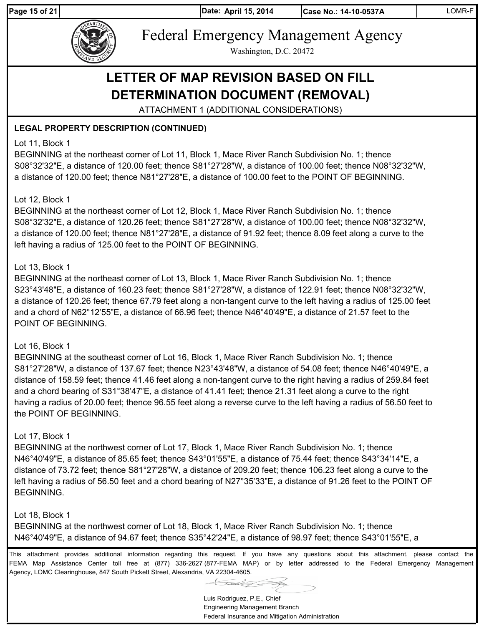Page 15 of 21 **April 15, 2014** 



Federal Emergency Management Agency

Washington, D.C. 20472

# **LETTER OF MAP REVISION BASED ON FILL DETERMINATION DOCUMENT (REMOVAL)**

ATTACHMENT 1 (ADDITIONAL CONSIDERATIONS)

# **LEGAL PROPERTY DESCRIPTION (CONTINUED)**

### Lot 11, Block 1

BEGINNING at the northeast corner of Lot 11, Block 1, Mace River Ranch Subdivision No. 1; thence S08°32'32"E, a distance of 120.00 feet; thence S81°27'28"W, a distance of 100.00 feet; thence N08°32'32"W, a distance of 120.00 feet; thence N81°27'28"E, a distance of 100.00 feet to the POINT OF BEGINNING.

#### Lot 12, Block 1

BEGINNING at the northeast corner of Lot 12, Block 1, Mace River Ranch Subdivision No. 1; thence S08°32'32"E, a distance of 120.26 feet; thence S81°27'28"W, a distance of 100.00 feet; thence N08°32'32"W, a distance of 120.00 feet; thence N81°27'28"E, a distance of 91.92 feet; thence 8.09 feet along a curve to the left having a radius of 125.00 feet to the POINT OF BEGINNING.

#### Lot 13, Block 1

BEGINNING at the northeast corner of Lot 13, Block 1, Mace River Ranch Subdivision No. 1; thence S23°43'48"E, a distance of 160.23 feet; thence S81°27'28"W, a distance of 122.91 feet; thence N08°32'32"W, a distance of 120.26 feet; thence 67.79 feet along a non-tangent curve to the left having a radius of 125.00 feet and a chord of N62°12'55"E, a distance of 66.96 feet; thence N46°40'49"E, a distance of 21.57 feet to the POINT OF BEGINNING.

#### Lot 16, Block 1

BEGINNING at the southeast corner of Lot 16, Block 1, Mace River Ranch Subdivision No. 1; thence S81°27'28"W, a distance of 137.67 feet; thence N23°43'48"W, a distance of 54.08 feet; thence N46°40'49"E, a distance of 158.59 feet; thence 41.46 feet along a non-tangent curve to the right having a radius of 259.84 feet and a chord bearing of S31°38'47"E, a distance of 41.41 feet; thence 21.31 feet along a curve to the right having a radius of 20.00 feet; thence 96.55 feet along a reverse curve to the left having a radius of 56.50 feet to the POINT OF BEGINNING.

# Lot 17, Block 1

BEGINNING at the northwest corner of Lot 17, Block 1, Mace River Ranch Subdivision No. 1; thence N46°40'49"E, a distance of 85.65 feet; thence S43°01'55"E, a distance of 75.44 feet; thence S43°34'14"E, a distance of 73.72 feet; thence S81°27'28"W, a distance of 209.20 feet; thence 106.23 feet along a curve to the left having a radius of 56.50 feet and a chord bearing of N27°35'33"E, a distance of 91.26 feet to the POINT OF BEGINNING.

# Lot 18, Block 1

BEGINNING at the northwest corner of Lot 18, Block 1, Mace River Ranch Subdivision No. 1; thence N46°40'49"E, a distance of 94.67 feet; thence S35°42'24"E, a distance of 98.97 feet; thence S43°01'55"E, a

This attachment provides additional information regarding this request. If you have any questions about this attachment, please contact the FEMA Map Assistance Center toll free at (877) 336-2627 (877-FEMA MAP) or by letter addressed to the Federal Emergency Management Agency, LOMC Clearinghouse, 847 South Pickett Street, Alexandria, VA 22304-4605.

Luis Rodriguez, P.E., Chief Engineering Management Branch

Federal Insurance and Mitigation Administration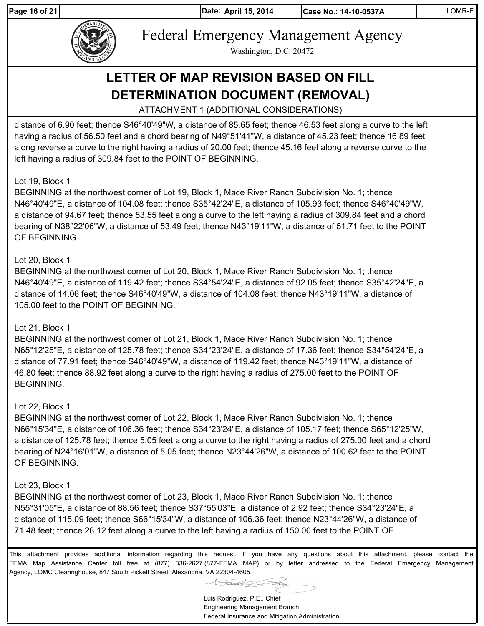Page 16 of 21 **April 15, 2014** 





Federal Emergency Management Agency

Washington, D.C. 20472

# **LETTER OF MAP REVISION BASED ON FILL DETERMINATION DOCUMENT (REMOVAL)**

ATTACHMENT 1 (ADDITIONAL CONSIDERATIONS)

distance of 6.90 feet; thence S46°40'49"W, a distance of 85.65 feet; thence 46.53 feet along a curve to the left having a radius of 56.50 feet and a chord bearing of N49°51'41"W, a distance of 45.23 feet; thence 16.89 feet along reverse a curve to the right having a radius of 20.00 feet; thence 45.16 feet along a reverse curve to the left having a radius of 309.84 feet to the POINT OF BEGINNING.

#### Lot 19, Block 1

BEGINNING at the northwest corner of Lot 19, Block 1, Mace River Ranch Subdivision No. 1; thence N46°40'49"E, a distance of 104.08 feet; thence S35°42'24"E, a distance of 105.93 feet; thence S46°40'49"W, a distance of 94.67 feet; thence 53.55 feet along a curve to the left having a radius of 309.84 feet and a chord bearing of N38°22'06"W, a distance of 53.49 feet; thence N43°19'11"W, a distance of 51.71 feet to the POINT OF BEGINNING.

#### Lot 20, Block 1

BEGINNING at the northwest corner of Lot 20, Block 1, Mace River Ranch Subdivision No. 1; thence N46°40'49"E, a distance of 119.42 feet; thence S34°54'24"E, a distance of 92.05 feet; thence S35°42'24"E, a distance of 14.06 feet; thence S46°40'49"W, a distance of 104.08 feet; thence N43°19'11"W, a distance of 105.00 feet to the POINT OF BEGINNING.

#### Lot 21, Block 1

BEGINNING at the northwest corner of Lot 21, Block 1, Mace River Ranch Subdivision No. 1; thence N65°12'25"E, a distance of 125.78 feet; thence S34°23'24"E, a distance of 17.36 feet; thence S34°54'24"E, a distance of 77.91 feet; thence S46°40'49"W, a distance of 119.42 feet; thence N43°19'11"W, a distance of 46.80 feet; thence 88.92 feet along a curve to the right having a radius of 275.00 feet to the POINT OF BEGINNING.

#### Lot 22, Block 1

BEGINNING at the northwest corner of Lot 22, Block 1, Mace River Ranch Subdivision No. 1; thence N66°15'34"E, a distance of 106.36 feet; thence S34°23'24"E, a distance of 105.17 feet; thence S65°12'25"W, a distance of 125.78 feet; thence 5.05 feet along a curve to the right having a radius of 275.00 feet and a chord bearing of N24°16'01"W, a distance of 5.05 feet; thence N23°44'26"W, a distance of 100.62 feet to the POINT OF BEGINNING.

#### Lot 23, Block 1

BEGINNING at the northwest corner of Lot 23, Block 1, Mace River Ranch Subdivision No. 1; thence N55°31'05"E, a distance of 88.56 feet; thence S37°55'03"E, a distance of 2.92 feet; thence S34°23'24"E, a distance of 115.09 feet; thence S66°15'34"W, a distance of 106.36 feet; thence N23°44'26"W, a distance of 71.48 feet; thence 28.12 feet along a curve to the left having a radius of 150.00 feet to the POINT OF

This attachment provides additional information regarding this request. If you have any questions about this attachment, please contact the FEMA Map Assistance Center toll free at (877) 336-2627 (877-FEMA MAP) or by letter addressed to the Federal Emergency Management Agency, LOMC Clearinghouse, 847 South Pickett Street, Alexandria, VA 22304-4605.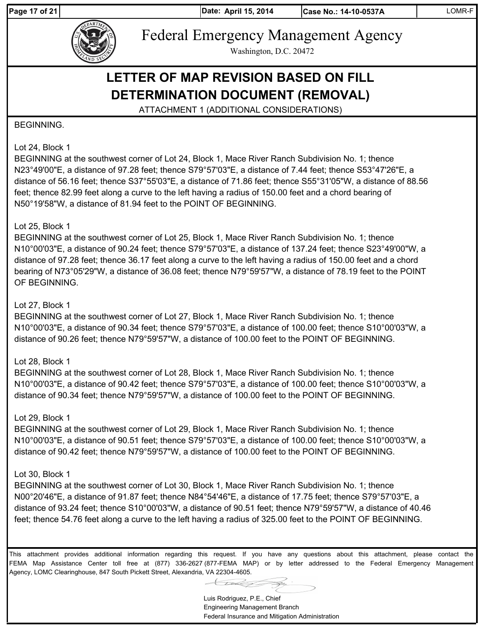Page 17 of 21 **April 15, 2014** 

**Date: Case No.: 14-10-0537A** LOMR-F



Federal Emergency Management Agency

Washington, D.C. 20472

# **LETTER OF MAP REVISION BASED ON FILL DETERMINATION DOCUMENT (REMOVAL)**

ATTACHMENT 1 (ADDITIONAL CONSIDERATIONS)

#### BEGINNING.

#### Lot 24, Block 1

BEGINNING at the southwest corner of Lot 24, Block 1, Mace River Ranch Subdivision No. 1; thence N23°49'00"E, a distance of 97.28 feet; thence S79°57'03"E, a distance of 7.44 feet; thence S53°47'26"E, a distance of 56.16 feet; thence S37°55'03"E, a distance of 71.86 feet; thence S55°31'05"W, a distance of 88.56 feet; thence 82.99 feet along a curve to the left having a radius of 150.00 feet and a chord bearing of N50°19'58"W, a distance of 81.94 feet to the POINT OF BEGINNING.

#### Lot 25, Block 1

BEGINNING at the southwest corner of Lot 25, Block 1, Mace River Ranch Subdivision No. 1; thence N10°00'03"E, a distance of 90.24 feet; thence S79°57'03"E, a distance of 137.24 feet; thence S23°49'00"W, a distance of 97.28 feet; thence 36.17 feet along a curve to the left having a radius of 150.00 feet and a chord bearing of N73°05'29"W, a distance of 36.08 feet; thence N79°59'57"W, a distance of 78.19 feet to the POINT OF BEGINNING.

#### Lot 27, Block 1

BEGINNING at the southwest corner of Lot 27, Block 1, Mace River Ranch Subdivision No. 1; thence N10°00'03"E, a distance of 90.34 feet; thence S79°57'03"E, a distance of 100.00 feet; thence S10°00'03"W, a distance of 90.26 feet; thence N79°59'57"W, a distance of 100.00 feet to the POINT OF BEGINNING.

#### Lot 28, Block 1

BEGINNING at the southwest corner of Lot 28, Block 1, Mace River Ranch Subdivision No. 1; thence N10°00'03"E, a distance of 90.42 feet; thence S79°57'03"E, a distance of 100.00 feet; thence S10°00'03"W, a distance of 90.34 feet; thence N79°59'57"W, a distance of 100.00 feet to the POINT OF BEGINNING.

#### Lot 29, Block 1

BEGINNING at the southwest corner of Lot 29, Block 1, Mace River Ranch Subdivision No. 1; thence N10°00'03"E, a distance of 90.51 feet; thence S79°57'03"E, a distance of 100.00 feet; thence S10°00'03"W, a distance of 90.42 feet; thence N79°59'57"W, a distance of 100.00 feet to the POINT OF BEGINNING.

#### Lot 30, Block 1

BEGINNING at the southwest corner of Lot 30, Block 1, Mace River Ranch Subdivision No. 1; thence N00°20'46"E, a distance of 91.87 feet; thence N84°54'46"E, a distance of 17.75 feet; thence S79°57'03"E, a distance of 93.24 feet; thence S10°00'03"W, a distance of 90.51 feet; thence N79°59'57"W, a distance of 40.46 feet; thence 54.76 feet along a curve to the left having a radius of 325.00 feet to the POINT OF BEGINNING.

Luis Rodriguez, P.E., Chief Engineering Management Branch Federal Insurance and Mitigation Administration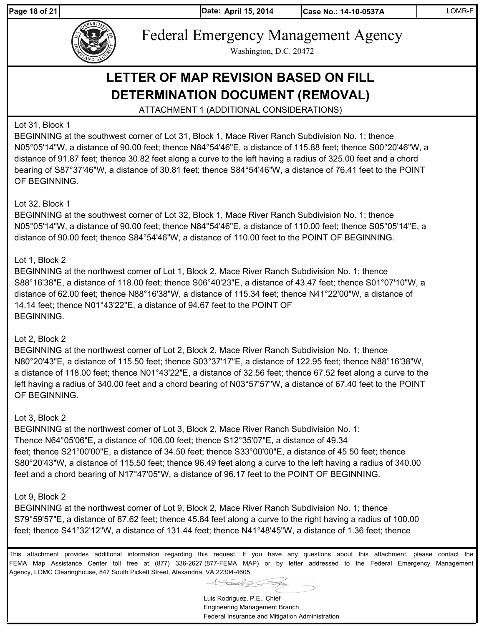Page 18 of 21 **April 15, 2014** 

**Date: Case No.: 14-10-0537A** LOMR-F



Federal Emergency Management Agency

Washington, D.C. 20472

# **LETTER OF MAP REVISION BASED ON FILL DETERMINATION DOCUMENT (REMOVAL)**

ATTACHMENT 1 (ADDITIONAL CONSIDERATIONS)

# Lot 31, Block 1

BEGINNING at the southwest corner of Lot 31, Block 1, Mace River Ranch Subdivision No. 1; thence N05°05'14"W, a distance of 90.00 feet; thence N84°54'46"E, a distance of 115.88 feet; thence S00°20'46"W, a distance of 91.87 feet; thence 30.82 feet along a curve to the left having a radius of 325.00 feet and a chord bearing of S87°37'46"W, a distance of 30.81 feet; thence S84°54'46"W, a distance of 76.41 feet to the POINT OF BEGINNING.

# Lot 32, Block 1

BEGINNING at the southwest corner of Lot 32, Block 1, Mace River Ranch Subdivision No. 1; thence N05°05'14"W, a distance of 90.00 feet; thence N84°54'46"E, a distance of 110.00 feet; thence S05°05'14"E, a distance of 90.00 feet; thence S84°54'46"W, a distance of 110.00 feet to the POINT OF BEGINNING.

# Lot 1, Block 2

BEGINNING at the northwest corner of Lot 1, Block 2, Mace River Ranch Subdivision No. 1; thence S88°16'38"E, a distance of 118.00 feet; thence S06°40'23"E, a distance of 43.47 feet; thence S01°07'10"W, a distance of 62.00 feet; thence N88°16'38"W, a distance of 115.34 feet; thence N41°22'00"W, a distance of 14.14 feet; thence N01°43'22"E, a distance of 94.67 feet to the POINT OF BEGINNING.

# Lot 2, Block 2

BEGINNING at the northwest corner of Lot 2, Block 2, Mace River Ranch Subdivision No. 1; thence N80°20'43"E, a distance of 115.50 feet; thence S03°37'17"E, a distance of 122.95 feet; thence N88°16'38"W, a distance of 118.00 feet; thence N01°43'22"E, a distance of 32.56 feet; thence 67.52 feet along a curve to the left having a radius of 340.00 feet and a chord bearing of N03°57'57"W, a distance of 67.40 feet to the POINT OF BEGINNING.

# Lot 3, Block 2

BEGINNING at the northwest corner of Lot 3, Block 2, Mace River Ranch Subdivision No. 1: Thence N64°05'06"E, a distance of 106.00 feet; thence S12°35'07"E, a distance of 49.34 feet; thence S21°00'00"E, a distance of 34.50 feet; thence S33°00'00"E, a distance of 45.50 feet; thence S80°20'43"W, a distance of 115.50 feet; thence 96.49 feet along a curve to the left having a radius of 340.00 feet and a chord bearing of N17°47'05"W, a distance of 96.17 feet to the POINT OF BEGINNING.

# Lot 9, Block 2

BEGINNING at the northwest corner of Lot 9, Block 2, Mace River Ranch Subdivision No. 1; thence S79°59'57"E, a distance of 87.62 feet; thence 45.84 feet along a curve to the right having a radius of 100.00 feet; thence S41°32'12"W, a distance of 131.44 feet; thence N41°48'45"W, a distance of 1.36 feet; thence

This attachment provides additional information regarding this request. If you have any questions about this attachment, please contact the FEMA Map Assistance Center toll free at (877) 336-2627 (877-FEMA MAP) or by letter addressed to the Federal Emergency Management Agency, LOMC Clearinghouse, 847 South Pickett Street, Alexandria, VA 22304-4605.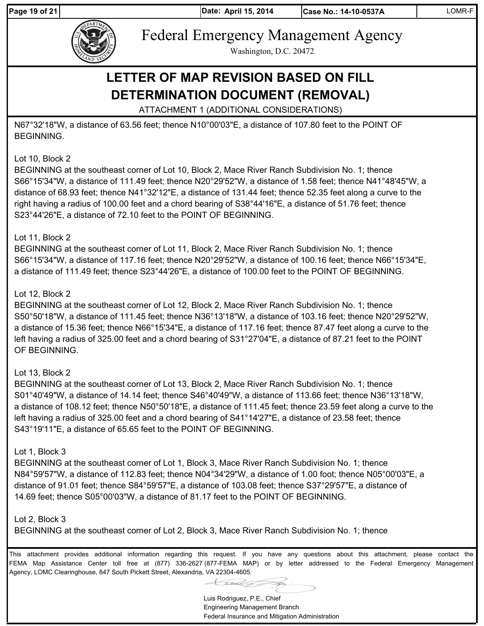Page 19 of 21 **April 15, 2014** 



Federal Emergency Management Agency

Washington, D.C. 20472

# **LETTER OF MAP REVISION BASED ON FILL DETERMINATION DOCUMENT (REMOVAL)**

ATTACHMENT 1 (ADDITIONAL CONSIDERATIONS)

N67°32'18"W, a distance of 63.56 feet; thence N10°00'03"E, a distance of 107.80 feet to the POINT OF BEGINNING.

# Lot 10, Block 2

BEGINNING at the southeast corner of Lot 10, Block 2, Mace River Ranch Subdivision No. 1; thence S66°15'34"W, a distance of 111.49 feet; thence N20°29'52"W, a distance of 1.58 feet; thence N41°48'45"W, a distance of 68.93 feet; thence N41°32'12"E, a distance of 131.44 feet; thence 52.35 feet along a curve to the right having a radius of 100.00 feet and a chord bearing of S38°44'16"E, a distance of 51.76 feet; thence S23°44'26"E, a distance of 72.10 feet to the POINT OF BEGINNING.

# Lot 11, Block 2

BEGINNING at the southeast corner of Lot 11, Block 2, Mace River Ranch Subdivision No. 1; thence S66°15'34"W, a distance of 117.16 feet; thence N20°29'52"W, a distance of 100.16 feet; thence N66°15'34"E, a distance of 111.49 feet; thence S23°44'26"E, a distance of 100.00 feet to the POINT OF BEGINNING.

#### Lot 12, Block 2

BEGINNING at the southeast corner of Lot 12, Block 2, Mace River Ranch Subdivision No. 1; thence S50°50'18"W, a distance of 111.45 feet; thence N36°13'18"W, a distance of 103.16 feet; thence N20°29'52"W, a distance of 15.36 feet; thence N66°15'34"E, a distance of 117.16 feet; thence 87.47 feet along a curve to the left having a radius of 325.00 feet and a chord bearing of S31°27'04"E, a distance of 87.21 feet to the POINT OF BEGINNING.

# Lot 13, Block 2

BEGINNING at the southeast corner of Lot 13, Block 2, Mace River Ranch Subdivision No. 1; thence S01°40'49"W, a distance of 14.14 feet; thence S46°40'49"W, a distance of 113.66 feet; thence N36°13'18"W, a distance of 108.12 feet; thence N50°50'18"E, a distance of 111.45 feet; thence 23.59 feet along a curve to the left having a radius of 325.00 feet and a chord bearing of S41°14'27"E, a distance of 23.58 feet; thence S43°19'11"E, a distance of 65.65 feet to the POINT OF BEGINNING.

#### Lot 1, Block 3

BEGINNING at the southeast corner of Lot 1, Block 3, Mace River Ranch Subdivision No. 1; thence N84°59'57"W, a distance of 112.83 feet; thence N04°34'29"W, a distance of 1.00 foot; thence N05°00'03"E, a distance of 91.01 feet; thence S84°59'57"E, a distance of 103.08 feet; thence S37°29'57"E, a distance of 14.69 feet; thence S05°00'03"W, a distance of 81.17 feet to the POINT OF BEGINNING.

#### Lot 2, Block 3

BEGINNING at the southeast corner of Lot 2, Block 3, Mace River Ranch Subdivision No. 1; thence

Luis Rodriguez, P.E., Chief Engineering Management Branch Federal Insurance and Mitigation Administration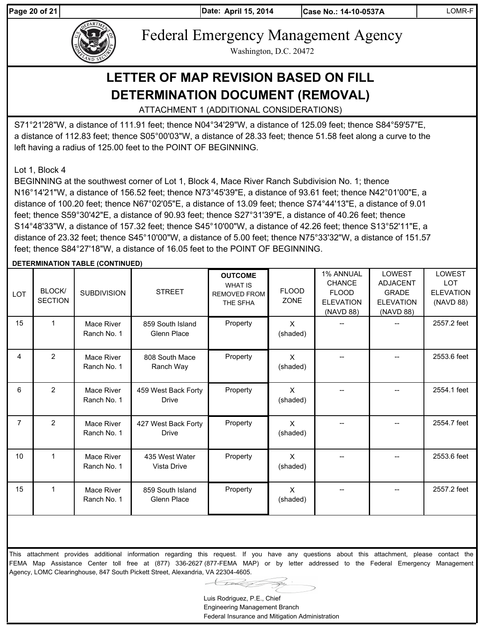Page 20 of 21 **April 15, 2014** 



Federal Emergency Management Agency

Washington, D.C. 20472

# **LETTER OF MAP REVISION BASED ON FILL DETERMINATION DOCUMENT (REMOVAL)**

ATTACHMENT 1 (ADDITIONAL CONSIDERATIONS)

S71°21'28"W, a distance of 111.91 feet; thence N04°34'29"W, a distance of 125.09 feet; thence S84°59'57"E, a distance of 112.83 feet; thence S05°00'03"W, a distance of 28.33 feet; thence 51.58 feet along a curve to the left having a radius of 125.00 feet to the POINT OF BEGINNING.

Lot 1, Block 4

BEGINNING at the southwest corner of Lot 1, Block 4, Mace River Ranch Subdivision No. 1; thence N16°14'21"W, a distance of 156.52 feet; thence N73°45'39"E, a distance of 93.61 feet; thence N42°01'00"E, a distance of 100.20 feet; thence N67°02'05"E, a distance of 13.09 feet; thence S74°44'13"E, a distance of 9.01 feet; thence S59°30'42"E, a distance of 90.93 feet; thence S27°31'39"E, a distance of 40.26 feet; thence S14°48'33"W, a distance of 157.32 feet; thence S45°10'00"W, a distance of 42.26 feet; thence S13°52'11"E, a distance of 23.32 feet; thence S45°10'00"W, a distance of 5.00 feet; thence N75°33'32"W, a distance of 151.57 feet; thence S84°27'18"W, a distance of 16.05 feet to the POINT OF BEGINNING.

#### **DETERMINATION TABLE (CONTINUED)**

| <b>LOT</b> | BLOCK/<br><b>SECTION</b> | <b>SUBDIVISION</b>        | <b>STREET</b>                       | <b>OUTCOME</b><br><b>WHAT IS</b><br><b>REMOVED FROM</b><br>THE SFHA | <b>FLOOD</b><br><b>ZONE</b> | 1% ANNUAL<br><b>CHANCE</b><br><b>FLOOD</b><br><b>ELEVATION</b><br>(NAVD 88) | <b>LOWEST</b><br><b>ADJACENT</b><br><b>GRADE</b><br><b>ELEVATION</b><br>(NAVD 88) | LOWEST<br><b>LOT</b><br><b>ELEVATION</b><br>(NAVD 88) |
|------------|--------------------------|---------------------------|-------------------------------------|---------------------------------------------------------------------|-----------------------------|-----------------------------------------------------------------------------|-----------------------------------------------------------------------------------|-------------------------------------------------------|
| 15         | 1                        | Mace River<br>Ranch No. 1 | 859 South Island<br>Glenn Place     | Property                                                            | $\times$<br>(shaded)        |                                                                             |                                                                                   | 2557.2 feet                                           |
| 4          | 2                        | Mace River<br>Ranch No. 1 | 808 South Mace<br>Ranch Way         | Property                                                            | X<br>(shaded)               |                                                                             |                                                                                   | 2553.6 feet                                           |
| 6          | $\overline{2}$           | Mace River<br>Ranch No. 1 | 459 West Back Forty<br>Drive        | Property                                                            | X<br>(shaded)               |                                                                             |                                                                                   | 2554.1 feet                                           |
| 7          | $\overline{2}$           | Mace River<br>Ranch No. 1 | 427 West Back Forty<br><b>Drive</b> | Property                                                            | X<br>(shaded)               |                                                                             |                                                                                   | 2554.7 feet                                           |
| 10         | $\mathbf{1}$             | Mace River<br>Ranch No. 1 | 435 West Water<br>Vista Drive       | Property                                                            | X<br>(shaded)               |                                                                             |                                                                                   | 2553.6 feet                                           |
| 15         | $\mathbf{1}$             | Mace River<br>Ranch No. 1 | 859 South Island<br>Glenn Place     | Property                                                            | X<br>(shaded)               |                                                                             |                                                                                   | 2557.2 feet                                           |

This attachment provides additional information regarding this request. If you have any questions about this attachment, please contact the FEMA Map Assistance Center toll free at (877) 336-2627 (877-FEMA MAP) or by letter addressed to the Federal Emergency Management Agency, LOMC Clearinghouse, 847 South Pickett Street, Alexandria, VA 22304-4605.

Luis Rodriguez, P.E., Chief

Engineering Management Branch Federal Insurance and Mitigation Administration